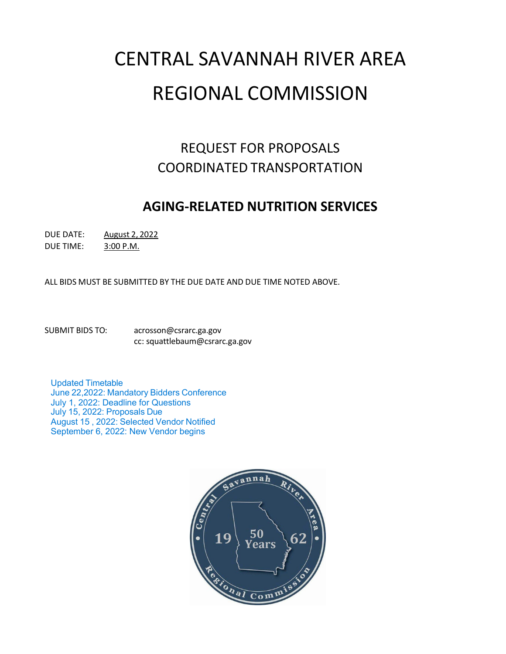# CENTRAL SAVANNAH RIVER AREA REGIONAL COMMISSION

# REQUEST FOR PROPOSALS COORDINATED TRANSPORTATION

# **AGING-RELATED NUTRITION SERVICES**

DUE DATE: August 2, 2022

DUE TIME: 3:00 P.M.

ALL BIDS MUST BE SUBMITTED BY THE DUE DATE AND DUE TIME NOTED ABOVE.

SUBMIT BIDS TO: [acrosson@csrarc.ga.gov](mailto:acrosson@csrarc.ga.gov) cc: [squattlebaum@csrarc.ga.gov](mailto:squattlebaum@csrarc.ga.gov)

Updated Timetable June 22,2022: Mandatory Bidders Conference July 1, 2022: Deadline for Questions July 15, 2022: Proposals Due August 15 , 2022: Selected Vendor Notified September 6, 2022: New Vendor begins

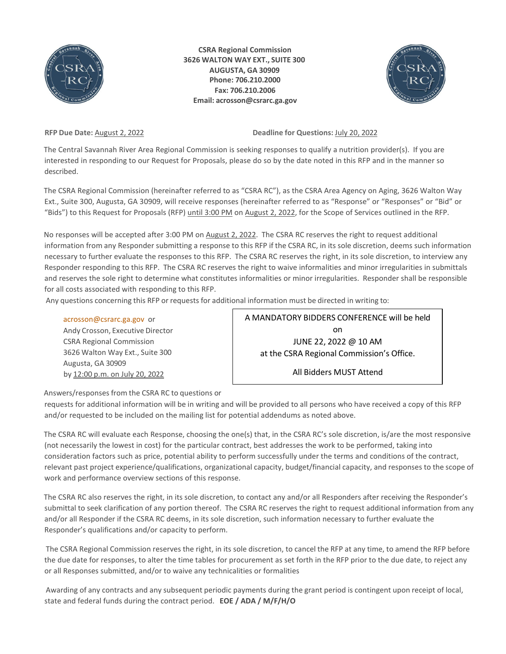

**CSRA Regional Commission 3626 WALTON WAY EXT., SUITE 300 AUGUSTA, GA 30909 Phone: 706.210.2000 Fax: 706.210.2006 Email: [acrosson@csrarc.ga.gov](mailto:acrosson@csrarc.ga.gov)**



**RFP Due Date:** August 2, 2022 **Deadline for Questions:** July 20, 2022

The Central Savannah River Area Regional Commission is seeking responses to qualify a nutrition provider(s). If you are interested in responding to our Request for Proposals, please do so by the date noted in this RFP and in the manner so described.

The CSRA Regional Commission (hereinafter referred to as "CSRA RC"), as the CSRA Area Agency on Aging, 3626 Walton Way Ext., Suite 300, Augusta, GA 30909, will receive responses (hereinafter referred to as "Response" or "Responses" or "Bid" or "Bids") to this Request for Proposals (RFP) until 3:00 PM on August 2, 2022, for the Scope of Services outlined in the RFP.

No responses will be accepted after 3:00 PM on August 2, 2022. The CSRA RC reserves the right to request additional information from any Responder submitting a response to this RFP if the CSRA RC, in its sole discretion, deems such information necessary to further evaluate the responses to this RFP. The CSRA RC reserves the right, in its sole discretion, to interview any Responder responding to this RFP. The CSRA RC reserves the right to waive informalities and minor irregularities in submittals and reserves the sole right to determine what constitutes informalities or minor irregularities. Responder shall be responsible for all costs associated with responding to this RFP.

Any questions concerning this RFP or requests for additional information must be directed in writing to:

#### [acrosson@csrarc.ga.gov](mailto:acrosson@csrarc.ga.gov) or

Andy Crosson, Executive Director CSRA Regional Commission 3626 Walton Way Ext., Suite 300 Augusta, GA 30909 by 12:00 p.m. on July 20, 2022

A MANDATORY BIDDERS CONFERENCE will be held on JUNE 22, 2022 @ 10 AM at the CSRA Regional Commission's Office.

All Bidders MUST Attend

Answers/responses from the CSRA RC to questions or

requests for additional information will be in writing and will be provided to all persons who have received a copy of this RFP and/or requested to be included on the mailing list for potential addendums as noted above.

The CSRA RC will evaluate each Response, choosing the one(s) that, in the CSRA RC's sole discretion, is/are the most responsive (not necessarily the lowest in cost) for the particular contract, best addresses the work to be performed, taking into consideration factors such as price, potential ability to perform successfully under the terms and conditions of the contract, relevant past project experience/qualifications, organizational capacity, budget/financial capacity, and responses to the scope of work and performance overview sections of this response.

The CSRA RC also reserves the right, in its sole discretion, to contact any and/or all Responders after receiving the Responder's submittal to seek clarification of any portion thereof. The CSRA RC reserves the right to request additional information from any and/or all Responder if the CSRA RC deems, in its sole discretion, such information necessary to further evaluate the Responder's qualifications and/or capacity to perform.

The CSRA Regional Commission reserves the right, in its sole discretion, to cancel the RFP at any time, to amend the RFP before the due date for responses, to alter the time tables for procurement as set forth in the RFP prior to the due date, to reject any or all Responses submitted, and/or to waive any technicalities or formalities

Awarding of any contracts and any subsequent periodic payments during the grant period is contingent upon receipt of local, state and federal funds during the contract period. **EOE / ADA / M/F/H/O**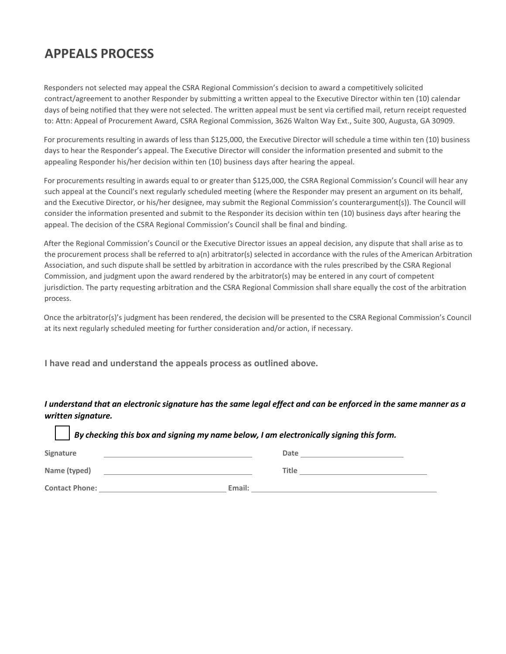# **APPEALS PROCESS**

Responders not selected may appeal the CSRA Regional Commission's decision to award a competitively solicited contract/agreement to another Responder by submitting a written appeal to the Executive Director within ten (10) calendar days of being notified that they were not selected. The written appeal must be sent via certified mail, return receipt requested to: Attn: Appeal of Procurement Award, CSRA Regional Commission, 3626 Walton Way Ext., Suite 300, Augusta, GA 30909.

For procurements resulting in awards of less than \$125,000, the Executive Director will schedule a time within ten (10) business days to hear the Responder's appeal. The Executive Director will consider the information presented and submit to the appealing Responder his/her decision within ten (10) business days after hearing the appeal.

For procurements resulting in awards equal to or greater than \$125,000, the CSRA Regional Commission's Council will hear any such appeal at the Council's next regularly scheduled meeting (where the Responder may present an argument on its behalf, and the Executive Director, or his/her designee, may submit the Regional Commission's counterargument(s)). The Council will consider the information presented and submit to the Responder its decision within ten (10) business days after hearing the appeal. The decision of the CSRA Regional Commission's Council shall be final and binding.

After the Regional Commission's Council or the Executive Director issues an appeal decision, any dispute that shall arise as to the procurement process shall be referred to a(n) arbitrator(s) selected in accordance with the rules of the American Arbitration Association, and such dispute shall be settled by arbitration in accordance with the rules prescribed by the CSRA Regional Commission, and judgment upon the award rendered by the arbitrator(s) may be entered in any court of competent jurisdiction. The party requesting arbitration and the CSRA Regional Commission shall share equally the cost of the arbitration process.

Once the arbitrator(s)'s judgment has been rendered, the decision will be presented to the CSRA Regional Commission's Council at its next regularly scheduled meeting for further consideration and/or action, if necessary.

**I have read and understand the appeals process as outlined above.**

I understand that an electronic signature has the same legal effect and can be enforced in the same manner as a *written signature.*

□ *By checking this box and signing my name below, I am electronically signing this form.* Signature **Constants and Constants and Constants and Constants and Date <u>Constantine Constants and Date</u> Name (typed)** and **Title Times is a structure of the structure of the structure of the structure of the structure of the structure of the structure of the structure of the structure of the structure of the structure of Contact Phone: Email:**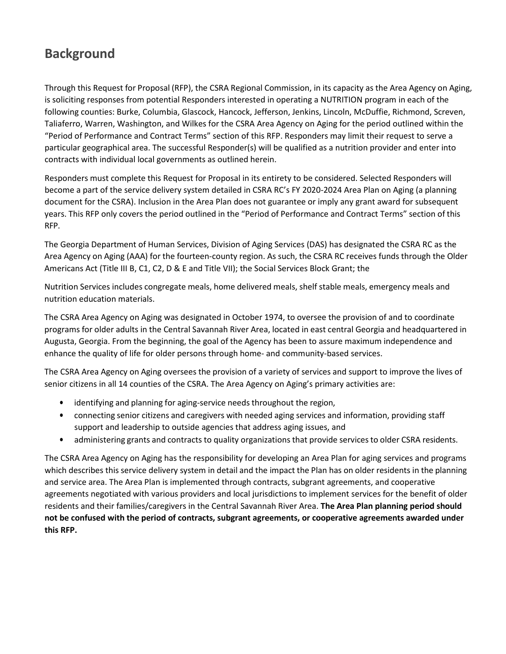# **Background**

Through this Request for Proposal (RFP), the CSRA Regional Commission, in its capacity as the Area Agency on Aging, is soliciting responses from potential Responders interested in operating a NUTRITION program in each of the following counties: Burke, Columbia, Glascock, Hancock, Jefferson, Jenkins, Lincoln, McDuffie, Richmond, Screven, Taliaferro, Warren, Washington, and Wilkes for the CSRA Area Agency on Aging for the period outlined within the "Period of Performance and Contract Terms" section of this RFP. Responders may limit their request to serve a particular geographical area. The successful Responder(s) will be qualified as a nutrition provider and enter into contracts with individual local governments as outlined herein.

Responders must complete this Request for Proposal in its entirety to be considered. Selected Responders will become a part of the service delivery system detailed in CSRA RC's FY 2020-2024 Area Plan on Aging (a planning document for the CSRA). Inclusion in the Area Plan does not guarantee or imply any grant award for subsequent years. This RFP only covers the period outlined in the "Period of Performance and Contract Terms" section of this RFP.

The Georgia Department of Human Services, Division of Aging Services (DAS) has designated the CSRA RC as the Area Agency on Aging (AAA) for the fourteen-county region. As such, the CSRA RC receives funds through the Older Americans Act (Title III B, C1, C2, D & E and Title VII); the Social Services Block Grant; the

Nutrition Services includes congregate meals, home delivered meals, shelf stable meals, emergency meals and nutrition education materials.

The CSRA Area Agency on Aging was designated in October 1974, to oversee the provision of and to coordinate programs for older adults in the Central Savannah River Area, located in east central Georgia and headquartered in Augusta, Georgia. From the beginning, the goal of the Agency has been to assure maximum independence and enhance the quality of life for older persons through home- and community-based services.

The CSRA Area Agency on Aging oversees the provision of a variety of services and support to improve the lives of senior citizens in all 14 counties of the CSRA. The Area Agency on Aging's primary activities are:

- identifying and planning for aging-service needs throughout the region,
- connecting senior citizens and caregivers with needed aging services and information, providing staff support and leadership to outside agencies that address aging issues, and
- administering grants and contracts to quality organizations that provide servicesto older CSRA residents.

The CSRA Area Agency on Aging has the responsibility for developing an Area Plan for aging services and programs which describes this service delivery system in detail and the impact the Plan has on older residents in the planning and service area. The Area Plan is implemented through contracts, subgrant agreements, and cooperative agreements negotiated with various providers and local jurisdictions to implement services for the benefit of older residents and their families/caregivers in the Central Savannah River Area. **The Area Plan planning period should not be confused with the period of contracts, subgrant agreements, or cooperative agreements awarded under this RFP.**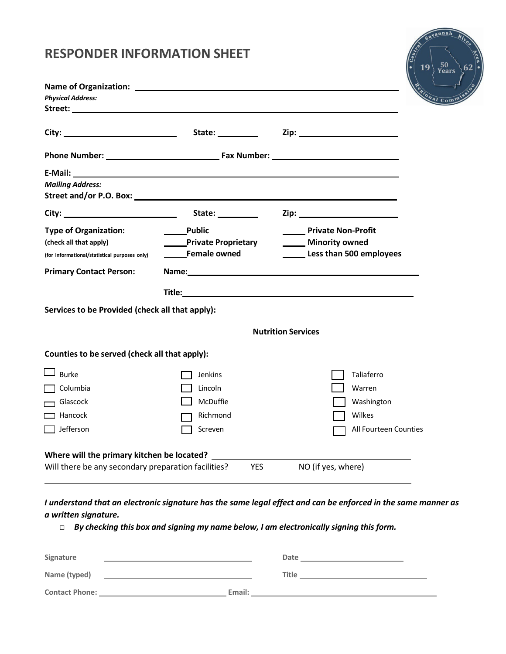# **RESPONDER INFORMATION SHEET**

| <b>Physical Address:</b>                                                                                                                                                                                                                                  |                                                                            | Sional Comm                                                                                                                                                                                                                    |
|-----------------------------------------------------------------------------------------------------------------------------------------------------------------------------------------------------------------------------------------------------------|----------------------------------------------------------------------------|--------------------------------------------------------------------------------------------------------------------------------------------------------------------------------------------------------------------------------|
|                                                                                                                                                                                                                                                           |                                                                            |                                                                                                                                                                                                                                |
|                                                                                                                                                                                                                                                           |                                                                            |                                                                                                                                                                                                                                |
| E-Mail: E-Mail: Explorer and the second state of the second state of the second state of the second state of the second state of the second state of the second state of the second state of the second state of the second st<br><b>Mailing Address:</b> |                                                                            |                                                                                                                                                                                                                                |
|                                                                                                                                                                                                                                                           | State: _________                                                           |                                                                                                                                                                                                                                |
| <b>Type of Organization:</b><br>(check all that apply)<br>(for informational/statistical purposes only)                                                                                                                                                   | <b>Public</b><br><b>No. 1.12 Private Proprietary</b><br>______Female owned | <b>Non-Profit</b> Private Non-Profit<br><b>Winority owned</b><br>Less than 500 employees                                                                                                                                       |
| <b>Primary Contact Person:</b>                                                                                                                                                                                                                            |                                                                            | Name: Name and the state of the state of the state of the state of the state of the state of the state of the state of the state of the state of the state of the state of the state of the state of the state of the state of |
|                                                                                                                                                                                                                                                           |                                                                            |                                                                                                                                                                                                                                |
| Services to be Provided (check all that apply):                                                                                                                                                                                                           |                                                                            |                                                                                                                                                                                                                                |
|                                                                                                                                                                                                                                                           |                                                                            | <b>Nutrition Services</b>                                                                                                                                                                                                      |
| Counties to be served (check all that apply):                                                                                                                                                                                                             |                                                                            |                                                                                                                                                                                                                                |
| <b>Burke</b>                                                                                                                                                                                                                                              | <b>Jenkins</b>                                                             | Taliaferro                                                                                                                                                                                                                     |
| $\Box$ Columbia                                                                                                                                                                                                                                           | Lincoln                                                                    | Warren                                                                                                                                                                                                                         |
| Glascock                                                                                                                                                                                                                                                  | McDuffie                                                                   | Washington                                                                                                                                                                                                                     |
| $\Box$ Hancock                                                                                                                                                                                                                                            | Richmond                                                                   | Wilkes                                                                                                                                                                                                                         |
| $\Box$ Jefferson                                                                                                                                                                                                                                          | Screven                                                                    | All Fourteen Counties                                                                                                                                                                                                          |
| Where will the primary kitchen be located?                                                                                                                                                                                                                |                                                                            |                                                                                                                                                                                                                                |
| Will there be any secondary preparation facilities?                                                                                                                                                                                                       | <b>YES</b>                                                                 | NO (if yes, where)                                                                                                                                                                                                             |

 $\frac{50}{\text{Years}}$ 

19

 $62$ 

I understand that an electronic signature has the same legal effect and can be enforced in the same manner as *a written signature.*

| Signature             |        | Date         |
|-----------------------|--------|--------------|
| Name (typed)          |        | <b>Title</b> |
| <b>Contact Phone:</b> | Email: |              |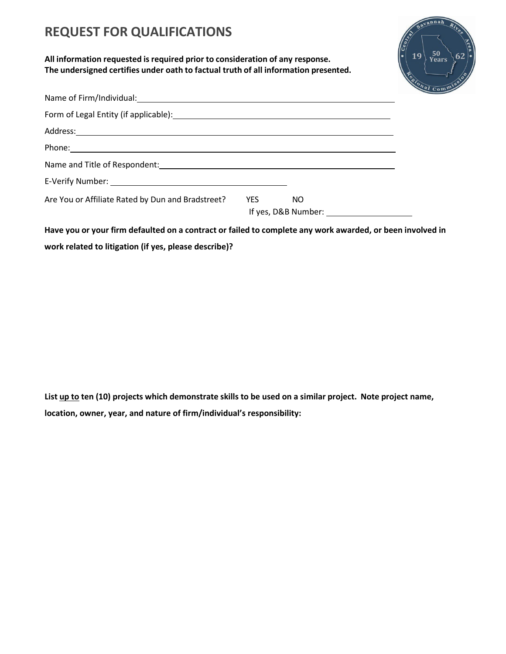# **REQUEST FOR QUALIFICATIONS**

**All information requested isrequired prior to consideration of any response. The undersigned certifies under oath to factual truth of all information presented.**



| Address: <u>Address:</u> Address: Address: Address: Address: Address: Address: Address: Address: Address: Address: Address: Address: Address: Address: Address: Address: Address: Address: Address: Address: Address: Address: Addr |            |     |  |
|-------------------------------------------------------------------------------------------------------------------------------------------------------------------------------------------------------------------------------------|------------|-----|--|
| Phone: Note: Note: Note: Note: Note: Note: Note: Note: Note: Note: Note: Note: Note: Note: Note: Note: Note: No<br>Note: Note: Note: Note: Note: Note: Note: Note: Note: Note: Note: Note: Note: Note: Note: Note: Note: Note: No   |            |     |  |
|                                                                                                                                                                                                                                     |            |     |  |
|                                                                                                                                                                                                                                     |            |     |  |
| Are You or Affiliate Rated by Dun and Bradstreet?                                                                                                                                                                                   | <b>YES</b> | NO. |  |

Have you or your firm defaulted on a contract or failed to complete any work awarded, or been involved in **work related to litigation (if yes, please describe)?**

**List up to ten (10) projects which demonstrate skills to be used on a similar project. Note project name, location, owner, year, and nature of firm/individual's responsibility:**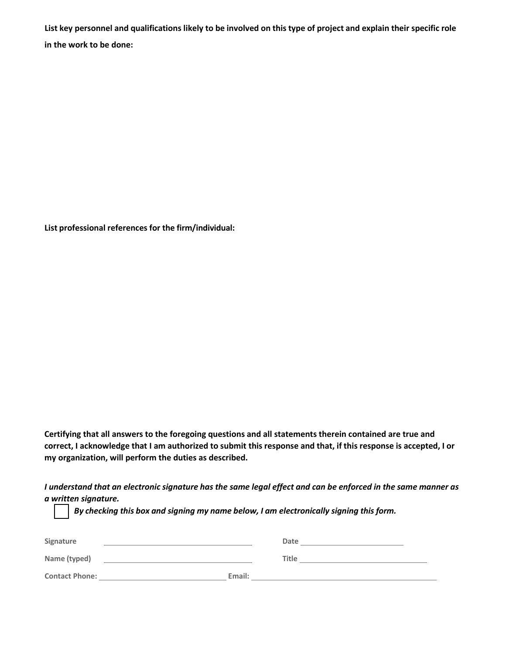List key personnel and qualifications likely to be involved on this type of project and explain their specific role **in the work to be done:**

**List professional references for the firm/individual:**

**Certifying that all answers to the foregoing questions and all statements therein contained are true and correct, I acknowledge that I am authorized to submit this response and that, if this response is accepted, I or my organization, will perform the duties as described.**

I understand that an electronic signature has the same legal effect and can be enforced in the same manner as *a written signature.*

| Signature             |        | Date         |
|-----------------------|--------|--------------|
| Name (typed)          |        | <b>Title</b> |
| <b>Contact Phone:</b> | Email: |              |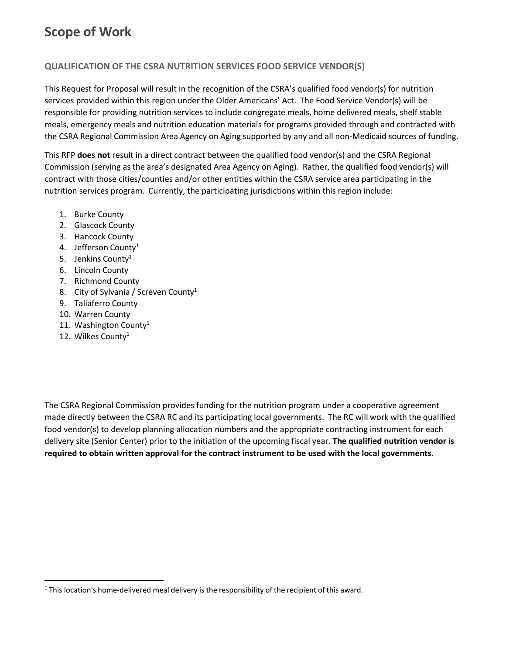# **Scope of Work**

#### **QUALIFICATION OF THE CSRA NUTRITION SERVICES FOOD SERVICE VENDOR(S)**

This Request for Proposal will result in the recognition of the CSRA's qualified food vendor(s) for nutrition services provided within this region under the Older Americans' Act. The Food Service Vendor(s) will be responsible for providing nutrition services to include congregate meals, home delivered meals, shelf stable meals, emergency meals and nutrition education materials for programs provided through and contracted with the CSRA Regional Commission Area Agency on Aging supported by any and all non-Medicaid sources of funding.

This RFP **does not** result in a direct contract between the qualified food vendor(s) and the CSRA Regional Commission (serving as the area's designated Area Agency on Aging). Rather, the qualified food vendor(s) will contract with those cities/counties and/or other entities within the CSRA service area participating in the nutrition services program. Currently, the participating jurisdictions within this region include:

- 1. Burke County
- 2. Glascock County
- 3. Hancock County
- 4. Jefferson County<sup>1</sup>
- 5. Jenkins County<sup>1</sup>
- 6. Lincoln County
- 7. Richmond County
- 8. City of Sylvania / Screven County<sup>1</sup>
- 9. Taliaferro County
- 10. Warren County
- 11. Washington County<sup>1</sup>
- 12. Wilkes County<sup>1</sup>

The CSRA Regional Commission provides funding for the nutrition program under a cooperative agreement made directly between the CSRA RC and its participating local governments. The RC will work with the qualified food vendor(s) to develop planning allocation numbers and the appropriate contracting instrument for each delivery site (Senior Center) prior to the initiation of the upcoming fiscal year. **The qualified nutrition vendor is required to obtain written approval for the contract instrument to be used with the local governments.**

<span id="page-7-0"></span> $<sup>1</sup>$  This location's home-delivered meal delivery is the responsibility of the recipient of this award.</sup>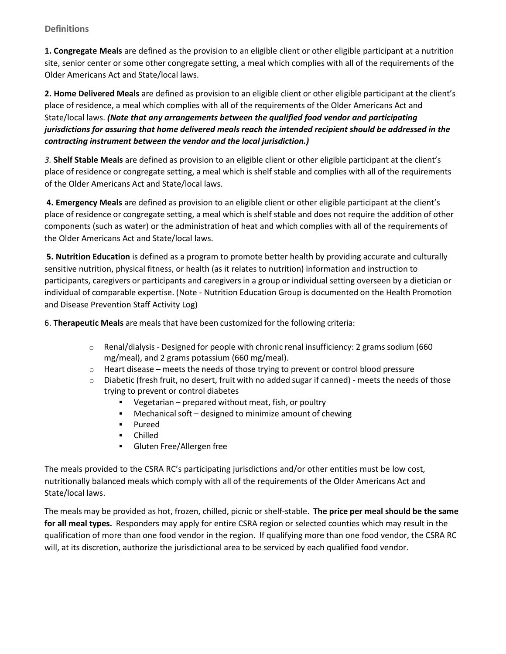#### **Definitions**

**1. Congregate Meals** are defined as the provision to an eligible client or other eligible participant at a nutrition site, senior center or some other congregate setting, a meal which complies with all of the requirements of the Older Americans Act and State/local laws.

**2. Home Delivered Meals** are defined as provision to an eligible client or other eligible participant at the client's place of residence, a meal which complies with all of the requirements of the Older Americans Act and State/local laws. *(Note that any arrangements between the qualified food vendor and participating jurisdictions for assuring that home delivered meals reach the intended recipient should be addressed in the contracting instrument between the vendor and the local jurisdiction.)*

*3.* **Shelf Stable Meals** are defined as provision to an eligible client or other eligible participant at the client's place of residence or congregate setting, a meal which is shelf stable and complies with all of the requirements of the Older Americans Act and State/local laws.

**4. Emergency Meals** are defined as provision to an eligible client or other eligible participant at the client's place of residence or congregate setting, a meal which is shelf stable and does not require the addition of other components (such as water) or the administration of heat and which complies with all of the requirements of the Older Americans Act and State/local laws.

**5. Nutrition Education** is defined as a program to promote better health by providing accurate and culturally sensitive nutrition, physical fitness, or health (as it relates to nutrition) information and instruction to participants, caregivers or participants and caregivers in a group or individual setting overseen by a dietician or individual of comparable expertise. (Note - Nutrition Education Group is documented on the Health Promotion and Disease Prevention Staff Activity Log)

6. **Therapeutic Meals** are meals that have been customized for the following criteria:

- $\circ$  Renal/dialysis Designed for people with chronic renal insufficiency: 2 grams sodium (660) mg/meal), and 2 grams potassium (660 mg/meal).
- $\circ$  Heart disease meets the needs of those trying to prevent or control blood pressure
- $\circ$  Diabetic (fresh fruit, no desert, fruit with no added sugar if canned) meets the needs of those trying to prevent or control diabetes
	- Vegetarian prepared without meat, fish, or poultry
	- Mechanical soft designed to minimize amount of chewing
	- **Pureed**
	- Chilled
	- **Gluten Free/Allergen free**

The meals provided to the CSRA RC's participating jurisdictions and/or other entities must be low cost, nutritionally balanced meals which comply with all of the requirements of the Older Americans Act and State/local laws.

The meals may be provided as hot, frozen, chilled, picnic or shelf-stable. **The price per meal should be the same for all meal types.** Responders may apply for entire CSRA region or selected counties which may result in the qualification of more than one food vendor in the region. If qualifying more than one food vendor, the CSRA RC will, at its discretion, authorize the jurisdictional area to be serviced by each qualified food vendor.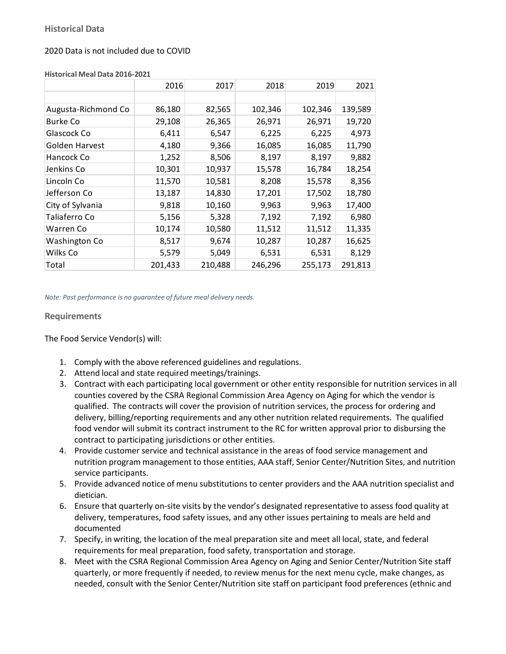#### 2020 Data is not included due to COVID

|                     | 2016    | 2017    | 2018    | 2019    | 2021    |
|---------------------|---------|---------|---------|---------|---------|
|                     |         |         |         |         |         |
| Augusta-Richmond Co | 86,180  | 82,565  | 102,346 | 102,346 | 139,589 |
| <b>Burke Co</b>     | 29,108  | 26,365  | 26,971  | 26,971  | 19,720  |
| Glascock Co         | 6,411   | 6,547   | 6,225   | 6,225   | 4,973   |
| Golden Harvest      | 4,180   | 9,366   | 16,085  | 16,085  | 11,790  |
| Hancock Co          | 1,252   | 8,506   | 8,197   | 8,197   | 9,882   |
| Jenkins Co          | 10,301  | 10,937  | 15,578  | 16,784  | 18,254  |
| Lincoln Co          | 11,570  | 10,581  | 8,208   | 15,578  | 8,356   |
| Jefferson Co        | 13,187  | 14,830  | 17,201  | 17,502  | 18,780  |
| City of Sylvania    | 9,818   | 10,160  | 9,963   | 9,963   | 17,400  |
| Taliaferro Co       | 5,156   | 5,328   | 7,192   | 7,192   | 6,980   |
| Warren Co           | 10,174  | 10,580  | 11,512  | 11,512  | 11,335  |
| Washington Co       | 8,517   | 9,674   | 10,287  | 10,287  | 16,625  |
| Wilks Co            | 5,579   | 5,049   | 6,531   | 6,531   | 8,129   |
| Total               | 201,433 | 210,488 | 246,296 | 255,173 | 291,813 |

#### **Historical Meal Data 2016-2021**

*Note: Past performance is no guarantee of future meal delivery needs.*

#### **Requirements**

The Food Service Vendor(s) will:

- 1. Comply with the above referenced guidelines and regulations.
- 2. Attend local and state required meetings/trainings.
- 3. Contract with each participating local government or other entity responsible for nutrition services in all counties covered by the CSRA Regional Commission Area Agency on Aging for which the vendor is qualified. The contracts will cover the provision of nutrition services, the process for ordering and delivery, billing/reporting requirements and any other nutrition related requirements. The qualified food vendor will submit its contract instrument to the RC for written approval prior to disbursing the contract to participating jurisdictions or other entities.
- 4. Provide customer service and technical assistance in the areas of food service management and nutrition program management to those entities, AAA staff, Senior Center/Nutrition Sites, and nutrition service participants.
- 5. Provide advanced notice of menu substitutions to center providers and the AAA nutrition specialist and dietician.
- 6. Ensure that quarterly on-site visits by the vendor's designated representative to assess food quality at delivery, temperatures, food safety issues, and any other issues pertaining to meals are held and documented
- 7. Specify, in writing, the location of the meal preparation site and meet all local, state, and federal requirements for meal preparation, food safety, transportation and storage.
- 8. Meet with the CSRA Regional Commission Area Agency on Aging and Senior Center/Nutrition Site staff quarterly, or more frequently if needed, to review menus for the next menu cycle, make changes, as needed, consult with the Senior Center/Nutrition site staff on participant food preferences (ethnic and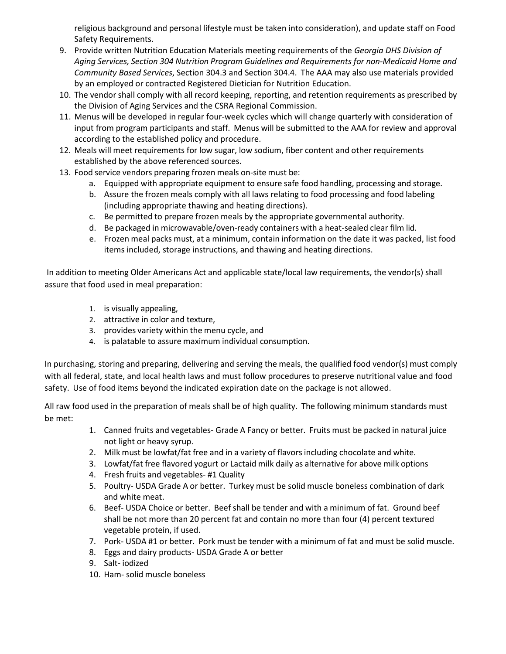religious background and personal lifestyle must be taken into consideration), and update staff on Food Safety Requirements.

- 9. Provide written Nutrition Education Materials meeting requirements of the *Georgia DHS Division of Aging Services, Section 304 Nutrition Program Guidelines and Requirements for non-Medicaid Home and Community Based Services*, Section 304.3 and Section 304.4. The AAA may also use materials provided by an employed or contracted Registered Dietician for Nutrition Education.
- 10. The vendor shall comply with all record keeping, reporting, and retention requirements as prescribed by the Division of Aging Services and the CSRA Regional Commission.
- 11. Menus will be developed in regular four-week cycles which will change quarterly with consideration of input from program participants and staff. Menus will be submitted to the AAA for review and approval according to the established policy and procedure.
- 12. Meals will meet requirements for low sugar, low sodium, fiber content and other requirements established by the above referenced sources.
- 13. Food service vendors preparing frozen meals on-site must be:
	- a. Equipped with appropriate equipment to ensure safe food handling, processing and storage.
	- b. Assure the frozen meals comply with all laws relating to food processing and food labeling (including appropriate thawing and heating directions).
	- c. Be permitted to prepare frozen meals by the appropriate governmental authority.
	- d. Be packaged in microwavable/oven-ready containers with a heat-sealed clear film lid.
	- e. Frozen meal packs must, at a minimum, contain information on the date it was packed, list food items included, storage instructions, and thawing and heating directions.

In addition to meeting Older Americans Act and applicable state/local law requirements, the vendor(s) shall assure that food used in meal preparation:

- 1. is visually appealing,
- 2. attractive in color and texture,
- 3. provides variety within the menu cycle, and
- 4. is palatable to assure maximum individual consumption.

In purchasing, storing and preparing, delivering and serving the meals, the qualified food vendor(s) must comply with all federal, state, and local health laws and must follow procedures to preserve nutritional value and food safety. Use of food items beyond the indicated expiration date on the package is not allowed.

All raw food used in the preparation of meals shall be of high quality. The following minimum standards must be met:

- 1. Canned fruits and vegetables- Grade A Fancy or better. Fruits must be packed in natural juice not light or heavy syrup.
- 2. Milk must be lowfat/fat free and in a variety of flavorsincluding chocolate and white.
- 3. Lowfat/fat free flavored yogurt or Lactaid milk daily as alternative for above milk options
- 4. Fresh fruits and vegetables- #1 Quality
- 5. Poultry- USDA Grade A or better. Turkey must be solid muscle boneless combination of dark and white meat.
- 6. Beef- USDA Choice or better. Beefshall be tender and with a minimum of fat. Ground beef shall be not more than 20 percent fat and contain no more than four (4) percent textured vegetable protein, if used.
- 7. Pork- USDA #1 or better. Pork must be tender with a minimum of fat and must be solid muscle.
- 8. Eggs and dairy products- USDA Grade A or better
- 9. Salt- iodized
- 10. Ham- solid muscle boneless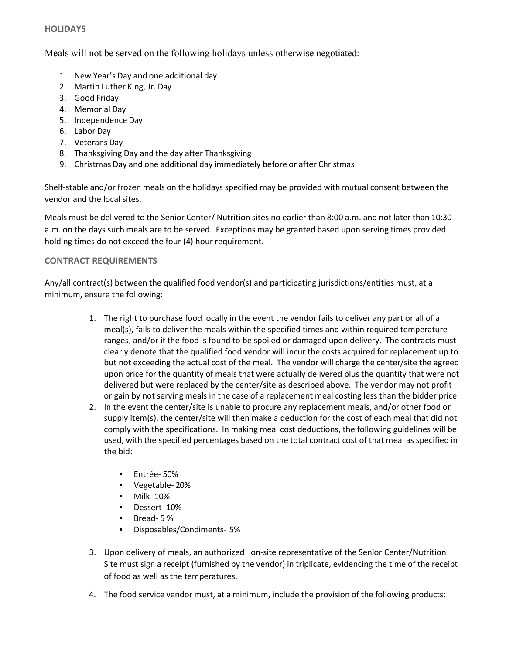#### **HOLIDAYS**

Meals will not be served on the following holidays unless otherwise negotiated:

- 1. New Year's Day and one additional day
- 2. Martin Luther King, Jr. Day
- 3. Good Friday
- 4. Memorial Day
- 5. Independence Day
- 6. Labor Day
- 7. Veterans Day
- 8. Thanksgiving Day and the day after Thanksgiving
- 9. Christmas Day and one additional day immediately before or after Christmas

Shelf-stable and/or frozen meals on the holidays specified may be provided with mutual consent between the vendor and the local sites.

Meals must be delivered to the Senior Center/ Nutrition sites no earlier than 8:00 a.m. and not later than 10:30 a.m. on the days such meals are to be served. Exceptions may be granted based upon serving times provided holding times do not exceed the four (4) hour requirement.

#### **CONTRACT REQUIREMENTS**

Any/all contract(s) between the qualified food vendor(s) and participating jurisdictions/entities must, at a minimum, ensure the following:

- 1. The right to purchase food locally in the event the vendor fails to deliver any part or all of a meal(s), fails to deliver the meals within the specified times and within required temperature ranges, and/or if the food is found to be spoiled or damaged upon delivery. The contracts must clearly denote that the qualified food vendor will incur the costs acquired for replacement up to but not exceeding the actual cost of the meal. The vendor will charge the center/site the agreed upon price for the quantity of meals that were actually delivered plus the quantity that were not delivered but were replaced by the center/site as described above. The vendor may not profit or gain by not serving meals in the case of a replacement meal costing less than the bidder price.
- 2. In the event the center/site is unable to procure any replacement meals, and/or other food or supply item(s), the center/site will then make a deduction for the cost of each meal that did not comply with the specifications. In making meal cost deductions, the following guidelines will be used, with the specified percentages based on the total contract cost of that meal as specified in the bid:
	- **Entrée-50%**
	- Vegetable- 20%
	- **•** Milk- 10%
	- Dessert- 10%
	- Bread- 5 %
	- Disposables/Condiments- 5%
- 3. Upon delivery of meals, an authorized on-site representative of the Senior Center/Nutrition Site must sign a receipt (furnished by the vendor) in triplicate, evidencing the time of the receipt of food as well as the temperatures.
- 4. The food service vendor must, at a minimum, include the provision of the following products: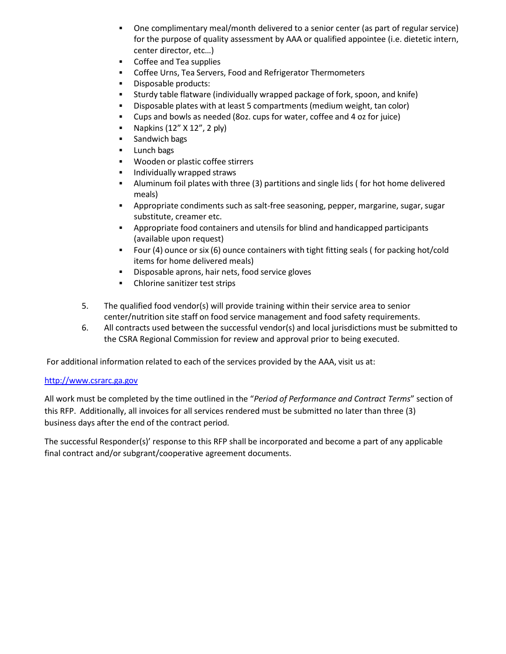- One complimentary meal/month delivered to a senior center (as part of regular service) for the purpose of quality assessment by AAA or qualified appointee (i.e. dietetic intern, center director, etc…)
- **Coffee and Tea supplies**
- **•** Coffee Urns, Tea Servers, Food and Refrigerator Thermometers
- **Disposable products:**
- Sturdy table flatware (individually wrapped package of fork, spoon, and knife)
- Disposable plates with at least 5 compartments (medium weight, tan color)
- Cups and bowls as needed (8oz. cups for water, coffee and 4 oz for juice)
- Napkins  $(12'' \times 12''$ , 2 ply)
- **Sandwich bags**
- **Lunch bags**
- **Wooden or plastic coffee stirrers**
- Individually wrapped straws
- Aluminum foil plates with three (3) partitions and single lids ( for hot home delivered meals)
- Appropriate condiments such as salt-free seasoning, pepper, margarine, sugar, sugar substitute, creamer etc.
- Appropriate food containers and utensils for blind and handicapped participants (available upon request)
- Four (4) ounce or six (6) ounce containers with tight fitting seals ( for packing hot/cold items for home delivered meals)
- **•** Disposable aprons, hair nets, food service gloves
- Chlorine sanitizer test strips
- 5. The qualified food vendor(s) will provide training within their service area to senior center/nutrition site staff on food service management and food safety requirements.
- 6. All contracts used between the successful vendor(s) and local jurisdictions must be submitted to the CSRA Regional Commission for review and approval prior to being executed.

For additional information related to each of the services provided by the AAA, visit us at:

#### [http://www.csrarc.ga.gov](http://www.csrarc.ga.gov/)

All work must be completed by the time outlined in the "*Period of Performance and Contract Terms*" section of this RFP. Additionally, all invoices for all services rendered must be submitted no later than three (3) business days after the end of the contract period.

The successful Responder(s)' response to this RFP shall be incorporated and become a part of any applicable final contract and/or subgrant/cooperative agreement documents.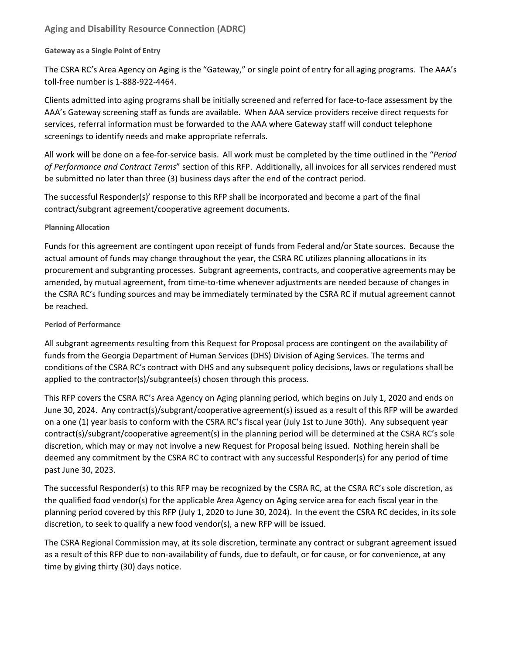#### **Aging and Disability Resource Connection (ADRC)**

#### **Gateway as a Single Point of Entry**

The CSRA RC's Area Agency on Aging is the "Gateway," or single point of entry for all aging programs. The AAA's toll-free number is 1-888-922-4464.

Clients admitted into aging programs shall be initially screened and referred for face-to-face assessment by the AAA's Gateway screening staff as funds are available. When AAA service providers receive direct requests for services, referral information must be forwarded to the AAA where Gateway staff will conduct telephone screenings to identify needs and make appropriate referrals.

All work will be done on a fee-for-service basis. All work must be completed by the time outlined in the "*Period of Performance and Contract Terms*" section of this RFP. Additionally, all invoices for all services rendered must be submitted no later than three (3) business days after the end of the contract period.

The successful Responder(s)' response to this RFP shall be incorporated and become a part of the final contract/subgrant agreement/cooperative agreement documents.

#### **Planning Allocation**

Funds for this agreement are contingent upon receipt of funds from Federal and/or State sources. Because the actual amount of funds may change throughout the year, the CSRA RC utilizes planning allocations in its procurement and subgranting processes. Subgrant agreements, contracts, and cooperative agreements may be amended, by mutual agreement, from time-to-time whenever adjustments are needed because of changes in the CSRA RC's funding sources and may be immediately terminated by the CSRA RC if mutual agreement cannot be reached.

#### **Period of Performance**

All subgrant agreements resulting from this Request for Proposal process are contingent on the availability of funds from the Georgia Department of Human Services (DHS) Division of Aging Services. The terms and conditions of the CSRA RC's contract with DHS and any subsequent policy decisions, laws or regulations shall be applied to the contractor(s)/subgrantee(s) chosen through this process.

This RFP covers the CSRA RC's Area Agency on Aging planning period, which begins on July 1, 2020 and ends on June 30, 2024. Any contract(s)/subgrant/cooperative agreement(s) issued as a result of this RFP will be awarded on a one (1) year basis to conform with the CSRA RC's fiscal year (July 1st to June 30th). Any subsequent year contract(s)/subgrant/cooperative agreement(s) in the planning period will be determined at the CSRA RC's sole discretion, which may or may not involve a new Request for Proposal being issued. Nothing herein shall be deemed any commitment by the CSRA RC to contract with any successful Responder(s) for any period of time past June 30, 2023.

The successful Responder(s) to this RFP may be recognized by the CSRA RC, at the CSRA RC's sole discretion, as the qualified food vendor(s) for the applicable Area Agency on Aging service area for each fiscal year in the planning period covered by this RFP (July 1, 2020 to June 30, 2024). In the event the CSRA RC decides, in its sole discretion, to seek to qualify a new food vendor(s), a new RFP will be issued.

The CSRA Regional Commission may, at its sole discretion, terminate any contract or subgrant agreement issued as a result of this RFP due to non-availability of funds, due to default, or for cause, or for convenience, at any time by giving thirty (30) days notice.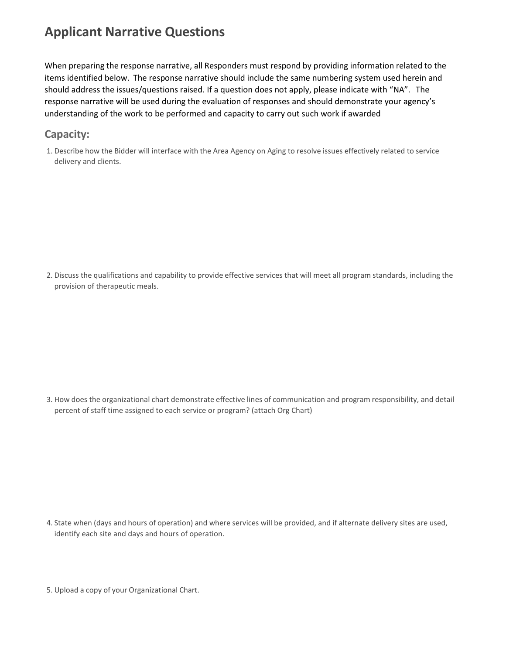# **Applicant Narrative Questions**

When preparing the response narrative, all Responders must respond by providing information related to the items identified below. The response narrative should include the same numbering system used herein and should address the issues/questions raised. If a question does not apply, please indicate with "NA". The response narrative will be used during the evaluation of responses and should demonstrate your agency's understanding of the work to be performed and capacity to carry out such work if awarded

### **Capacity:**

1. Describe how the Bidder will interface with the Area Agency on Aging to resolve issues effectively related to service delivery and clients.

2. Discuss the qualifications and capability to provide effective services that will meet all program standards, including the provision of therapeutic meals.

3. How does the organizational chart demonstrate effective lines of communication and program responsibility, and detail percent of staff time assigned to each service or program? (attach Org Chart)

4. State when (days and hours of operation) and where services will be provided, and if alternate delivery sites are used, identify each site and days and hours of operation.

5. Upload a copy of your Organizational Chart.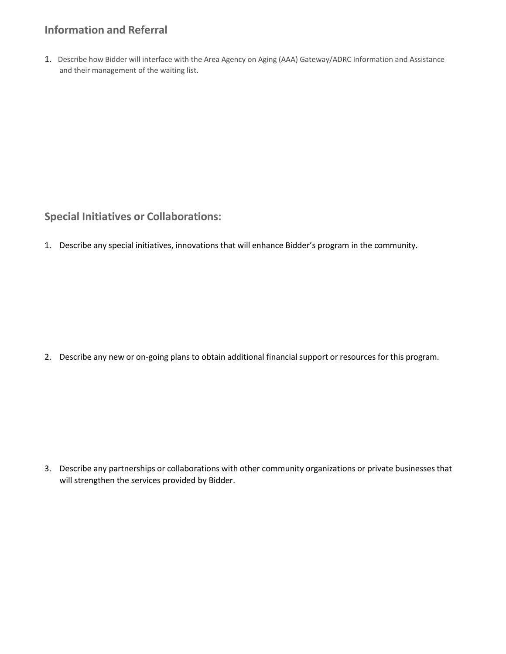### **Information and Referral**

1. Describe how Bidder will interface with the Area Agency on Aging (AAA) Gateway/ADRC Information and Assistance and their management of the waiting list.

**Special Initiatives or Collaborations:**

1. Describe any special initiatives, innovations that will enhance Bidder's program in the community.

2. Describe any new or on-going plans to obtain additional financial support or resources for this program.

3. Describe any partnerships or collaborations with other community organizations or private businesses that will strengthen the services provided by Bidder.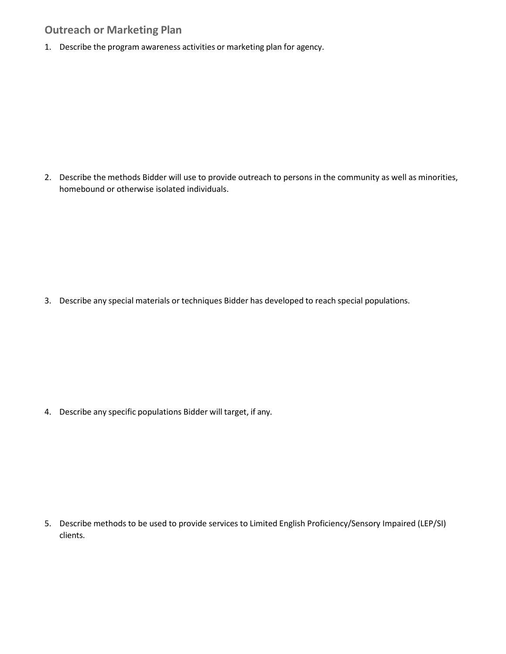### **Outreach or Marketing Plan**

1. Describe the program awareness activities or marketing plan for agency.

2. Describe the methods Bidder will use to provide outreach to persons in the community as well as minorities, homebound or otherwise isolated individuals.

3. Describe any special materials or techniques Bidder has developed to reach special populations.

4. Describe any specific populations Bidder will target, if any.

5. Describe methods to be used to provide services to Limited English Proficiency/Sensory Impaired (LEP/SI) clients.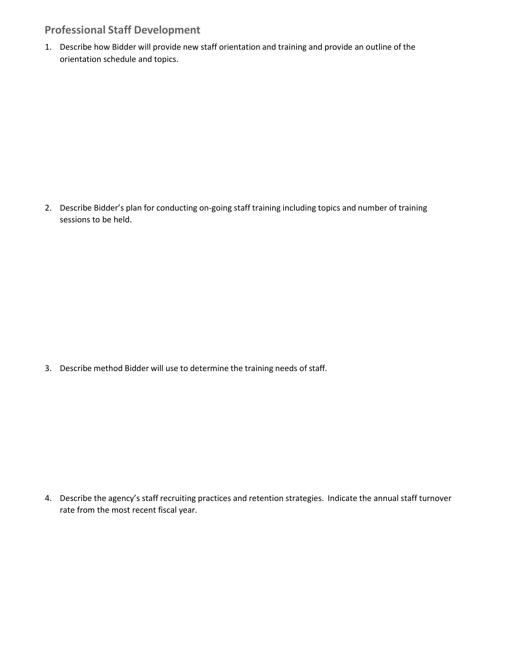### **Professional Staff Development**

1. Describe how Bidder will provide new staff orientation and training and provide an outline of the orientation schedule and topics.

2. Describe Bidder's plan for conducting on-going staff training including topics and number of training sessions to be held.

3. Describe method Bidder will use to determine the training needs of staff.

4. Describe the agency's staff recruiting practices and retention strategies. Indicate the annual staff turnover rate from the most recent fiscal year.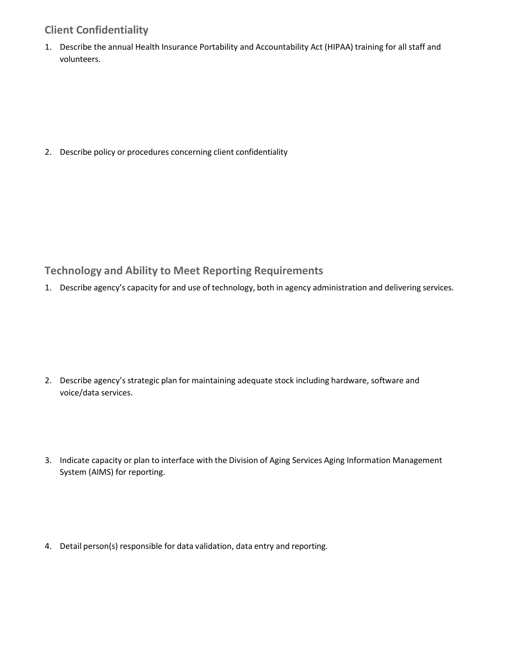### **Client Confidentiality**

1. Describe the annual Health Insurance Portability and Accountability Act (HIPAA) training for all staff and volunteers.

2. Describe policy or procedures concerning client confidentiality

### **Technology and Ability to Meet Reporting Requirements**

1. Describe agency's capacity for and use of technology, both in agency administration and delivering services.

- 2. Describe agency's strategic plan for maintaining adequate stock including hardware, software and voice/data services.
- 3. Indicate capacity or plan to interface with the Division of Aging Services Aging Information Management System (AIMS) for reporting.
- 4. Detail person(s) responsible for data validation, data entry and reporting.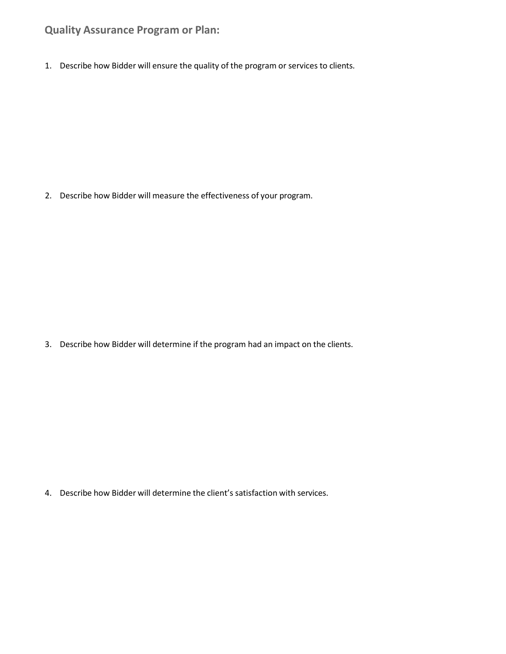### **Quality Assurance Program or Plan:**

1. Describe how Bidder will ensure the quality of the program or services to clients.

2. Describe how Bidder will measure the effectiveness of your program.

3. Describe how Bidder will determine if the program had an impact on the clients.

4. Describe how Bidder will determine the client's satisfaction with services.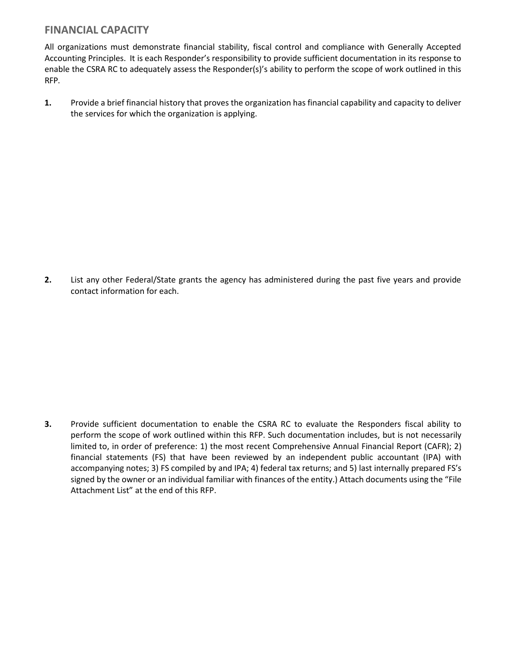### **FINANCIAL CAPACITY**

All organizations must demonstrate financial stability, fiscal control and compliance with Generally Accepted Accounting Principles. It is each Responder's responsibility to provide sufficient documentation in its response to enable the CSRA RC to adequately assess the Responder(s)'s ability to perform the scope of work outlined in this RFP.

**1.** Provide a brief financial history that proves the organization has financial capability and capacity to deliver the services for which the organization is applying.

**2.** List any other Federal/State grants the agency has administered during the past five years and provide contact information for each.

**3.** Provide sufficient documentation to enable the CSRA RC to evaluate the Responders fiscal ability to perform the scope of work outlined within this RFP. Such documentation includes, but is not necessarily limited to, in order of preference: 1) the most recent Comprehensive Annual Financial Report (CAFR); 2) financial statements (FS) that have been reviewed by an independent public accountant (IPA) with accompanying notes; 3) FS compiled by and IPA; 4) federal tax returns; and 5) last internally prepared FS's signed by the owner or an individual familiar with finances of the entity.) Attach documents using the "File Attachment List" at the end of this RFP.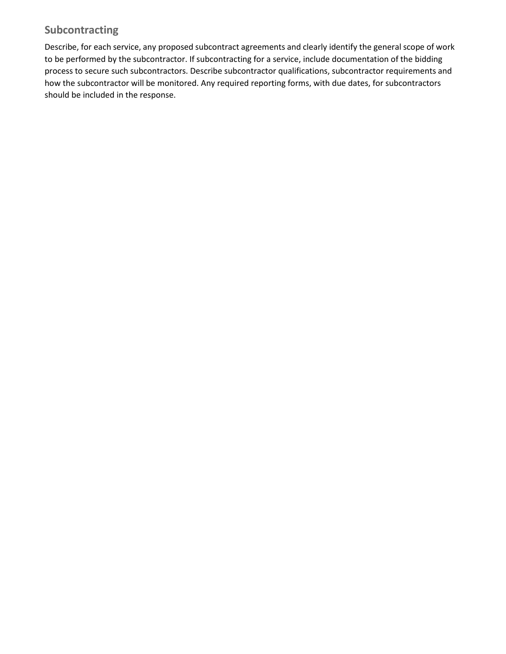### **Subcontracting**

Describe, for each service, any proposed subcontract agreements and clearly identify the general scope of work to be performed by the subcontractor. If subcontracting for a service, include documentation of the bidding process to secure such subcontractors. Describe subcontractor qualifications, subcontractor requirements and how the subcontractor will be monitored. Any required reporting forms, with due dates, for subcontractors should be included in the response.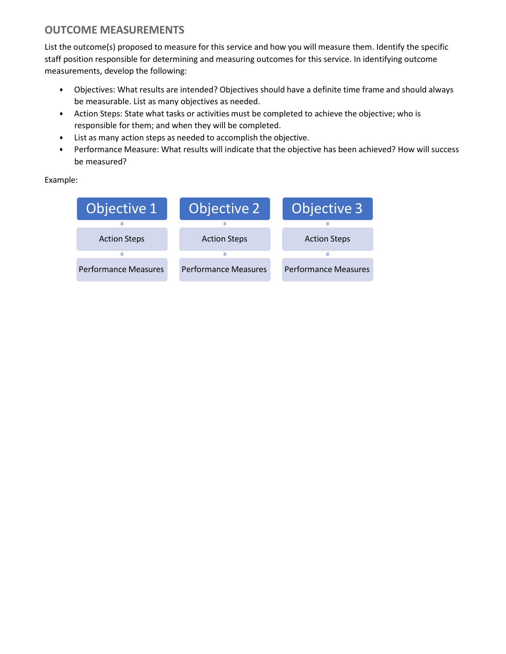### **OUTCOME MEASUREMENTS**

List the outcome(s) proposed to measure for this service and how you will measure them. Identify the specific staff position responsible for determining and measuring outcomes for this service. In identifying outcome measurements, develop the following:

- Objectives: What results are intended? Objectives should have a definite time frame and should always be measurable. List as many objectives as needed.
- Action Steps: State what tasks or activities must be completed to achieve the objective; who is responsible for them; and when they will be completed.
- List as many action steps as needed to accomplish the objective.
- Performance Measure: What results will indicate that the objective has been achieved? How will success be measured?

Example:

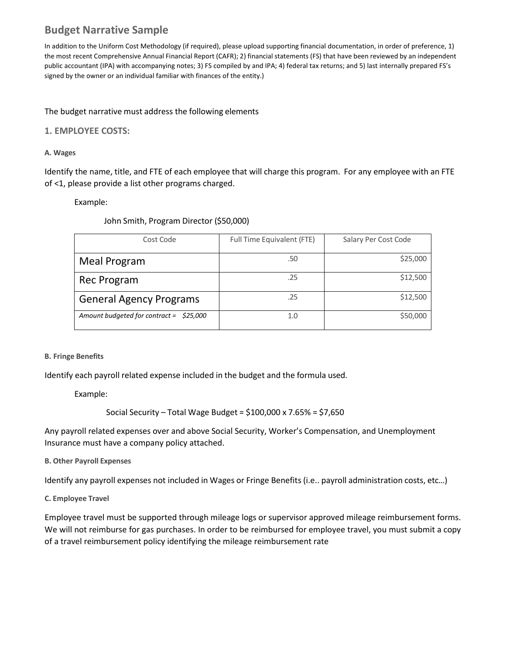### **Budget Narrative Sample**

In addition to the Uniform Cost Methodology (if required), please upload supporting financial documentation, in order of preference, 1) the most recent Comprehensive Annual Financial Report (CAFR); 2) financial statements (FS) that have been reviewed by an independent public accountant (IPA) with accompanying notes; 3) FS compiled by and IPA; 4) federal tax returns; and 5) last internally prepared FS's signed by the owner or an individual familiar with finances of the entity.)

#### The budget narrative must address the following elements

#### **1. EMPLOYEE COSTS:**

#### **A. Wages**

Identify the name, title, and FTE of each employee that will charge this program. For any employee with an FTE of <1, please provide a list other programs charged.

Example:

John Smith, Program Director (\$50,000)

| Cost Code                                | Full Time Equivalent (FTE) | Salary Per Cost Code |
|------------------------------------------|----------------------------|----------------------|
| <b>Meal Program</b>                      | .50                        | \$25,000             |
| Rec Program                              | .25                        | \$12,500             |
| <b>General Agency Programs</b>           | .25                        | \$12,500             |
| Amount budgeted for contract = $$25,000$ | 1.0                        | \$50,000             |

#### **B. Fringe Benefits**

Identify each payroll related expense included in the budget and the formula used.

Example:

Social Security – Total Wage Budget = \$100,000 x 7.65% = \$7,650

Any payroll related expenses over and above Social Security, Worker's Compensation, and Unemployment Insurance must have a company policy attached.

**B. Other Payroll Expenses**

Identify any payroll expenses not included in Wages or Fringe Benefits (i.e.. payroll administration costs, etc…)

**C. Employee Travel**

Employee travel must be supported through mileage logs or supervisor approved mileage reimbursement forms. We will not reimburse for gas purchases. In order to be reimbursed for employee travel, you must submit a copy of a travel reimbursement policy identifying the mileage reimbursement rate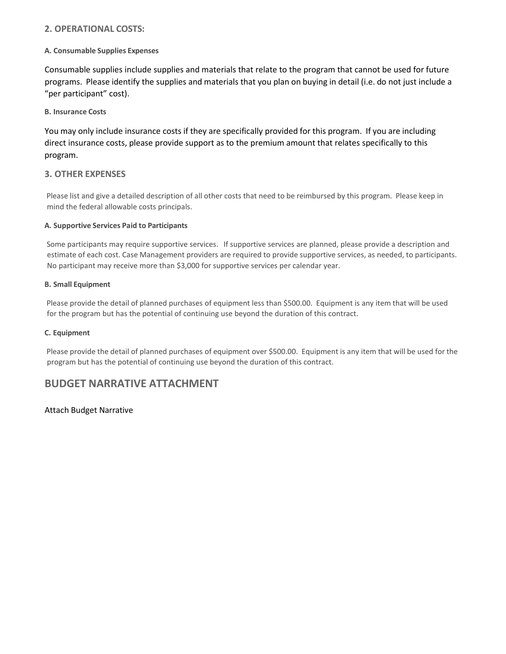#### **2. OPERATIONAL COSTS:**

#### **A. Consumable Supplies Expenses**

Consumable supplies include supplies and materials that relate to the program that cannot be used for future programs. Please identify the supplies and materials that you plan on buying in detail (i.e. do not just include a "per participant" cost).

**B. Insurance Costs**

You may only include insurance costs if they are specifically provided for this program. If you are including direct insurance costs, please provide support as to the premium amount that relates specifically to this program.

#### **3. OTHER EXPENSES**

Please list and give a detailed description of all other costs that need to be reimbursed by this program. Please keep in mind the federal allowable costs principals.

#### **A. Supportive Services Paid to Participants**

Some participants may require supportive services. If supportive services are planned, please provide a description and estimate of each cost. Case Management providers are required to provide supportive services, as needed, to participants. No participant may receive more than \$3,000 for supportive services per calendar year.

#### **B. Small Equipment**

Please provide the detail of planned purchases of equipment less than \$500.00. Equipment is any item that will be used for the program but has the potential of continuing use beyond the duration of this contract.

#### **C. Equipment**

Please provide the detail of planned purchases of equipment over \$500.00. Equipment is any item that will be used for the program but has the potential of continuing use beyond the duration of this contract.

#### **BUDGET NARRATIVE ATTACHMENT**

#### Attach Budget Narrative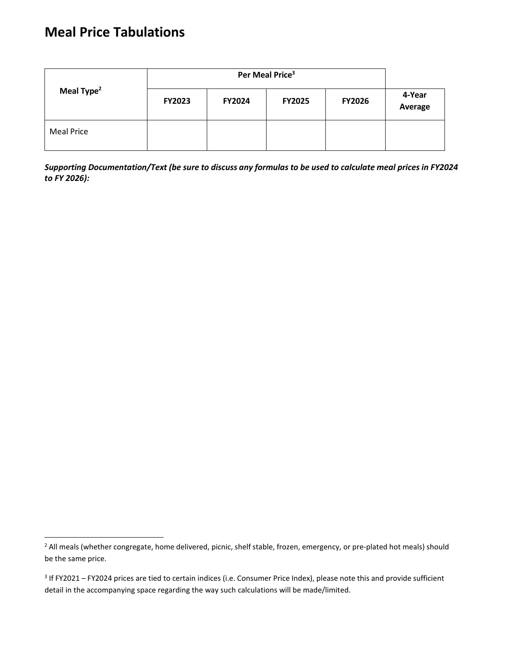# **Meal Price Tabulations**

| Meal Type <sup>2</sup> | <b>FY2023</b> | <b>FY2024</b> | <b>FY2025</b> | <b>FY2026</b> | 4-Year<br>Average |
|------------------------|---------------|---------------|---------------|---------------|-------------------|
| <b>Meal Price</b>      |               |               |               |               |                   |

Supporting Documentation/Text (be sure to discuss any formulas to be used to calculate meal prices in FY2024 *to FY 2026):*

<span id="page-25-0"></span><sup>&</sup>lt;sup>2</sup> All meals (whether congregate, home delivered, picnic, shelf stable, frozen, emergency, or pre-plated hot meals) should be the same price.

<span id="page-25-1"></span><sup>&</sup>lt;sup>3</sup> If FY2021 – FY2024 prices are tied to certain indices (i.e. Consumer Price Index), please note this and provide sufficient detail in the accompanying space regarding the way such calculations will be made/limited.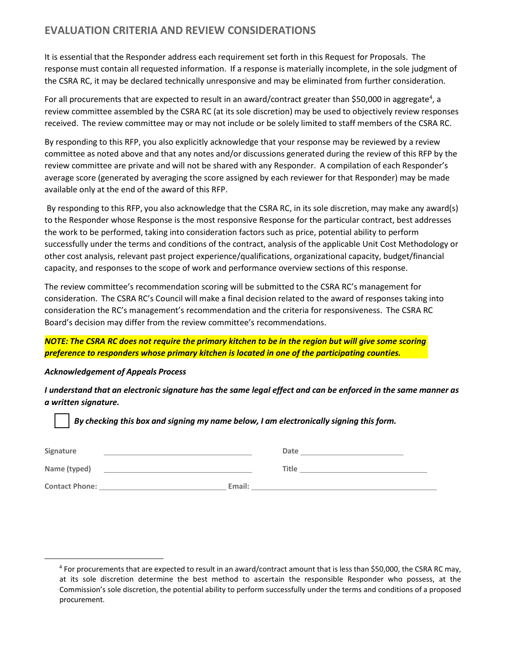### **EVALUATION CRITERIA AND REVIEW CONSIDERATIONS**

It is essential that the Responder address each requirement set forth in this Request for Proposals. The response must contain all requested information. If a response is materially incomplete, in the sole judgment of the CSRA RC, it may be declared technically unresponsive and may be eliminated from further consideration.

For all procurements that are expected to result in an award/contract greater than \$50,000 in aggregate<sup>4</sup>, a review committee assembled by the CSRA RC (at its sole discretion) may be used to objectively review responses received. The review committee may or may not include or be solely limited to staff members of the CSRA RC.

By responding to this RFP, you also explicitly acknowledge that your response may be reviewed by a review committee as noted above and that any notes and/or discussions generated during the review of this RFP by the review committee are private and will not be shared with any Responder. A compilation of each Responder's average score (generated by averaging the score assigned by each reviewer for that Responder) may be made available only at the end of the award of this RFP.

By responding to this RFP, you also acknowledge that the CSRA RC, in its sole discretion, may make any award(s) to the Responder whose Response is the most responsive Response for the particular contract, best addresses the work to be performed, taking into consideration factors such as price, potential ability to perform successfully under the terms and conditions of the contract, analysis of the applicable Unit Cost Methodology or other cost analysis, relevant past project experience/qualifications, organizational capacity, budget/financial capacity, and responses to the scope of work and performance overview sections of this response.

The review committee's recommendation scoring will be submitted to the CSRA RC's management for consideration. The CSRA RC's Council will make a final decision related to the award of responses taking into consideration the RC's management's recommendation and the criteria for responsiveness. The CSRA RC Board's decision may differ from the review committee's recommendations.

NOTE: The CSRA RC does not require the primary kitchen to be in the region but will give some scoring *preference to responders whose primary kitchen is located in one of the participating counties.*

#### *Acknowledgement of Appeals Process*

I understand that an electronic signature has the same legal effect and can be enforced in the same manner as *a written signature.*

| Signature             |        | Date  |
|-----------------------|--------|-------|
| Name (typed)          |        | Title |
| <b>Contact Phone:</b> | Email: |       |

<span id="page-26-0"></span><sup>4</sup> For procurements that are expected to result in an award/contract amount that is less than \$50,000, the CSRA RC may, at its sole discretion determine the best method to ascertain the responsible Responder who possess, at the Commission's sole discretion, the potential ability to perform successfully under the terms and conditions of a proposed procurement.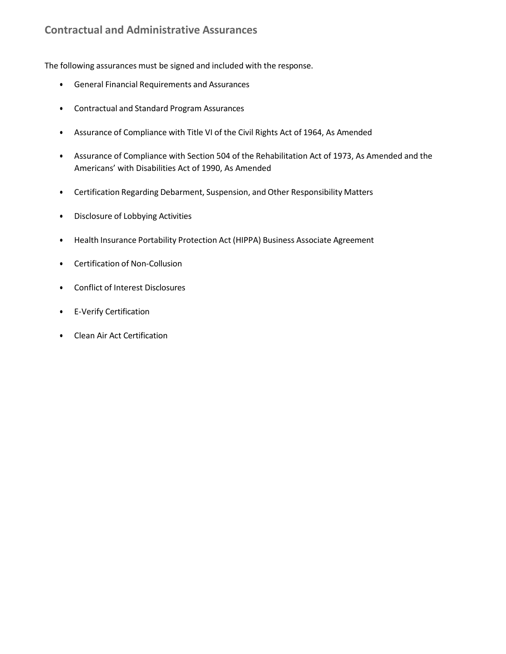### **Contractual and Administrative Assurances**

The following assurances must be signed and included with the response.

- General Financial Requirements and Assurances
- Contractual and Standard Program Assurances
- Assurance of Compliance with Title VI of the Civil Rights Act of 1964, As Amended
- Assurance of Compliance with Section 504 of the Rehabilitation Act of 1973, As Amended and the Americans' with Disabilities Act of 1990, As Amended
- Certification Regarding Debarment, Suspension, and Other Responsibility Matters
- Disclosure of Lobbying Activities
- Health Insurance Portability Protection Act (HIPPA) Business Associate Agreement
- Certification of Non-Collusion
- Conflict of Interest Disclosures
- E-Verify Certification
- Clean Air Act Certification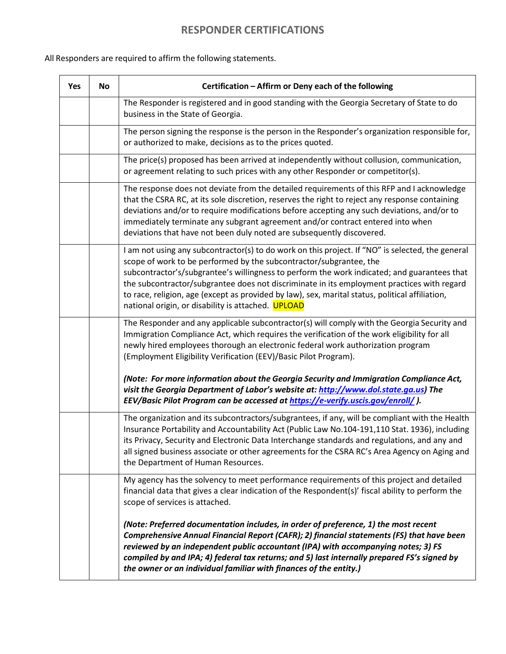### **RESPONDER CERTIFICATIONS**

All Responders are required to affirm the following statements.

| Yes | <b>No</b> | Certification - Affirm or Deny each of the following                                                                                                                                                                                                                                                                                                                                                                                                                                                                         |
|-----|-----------|------------------------------------------------------------------------------------------------------------------------------------------------------------------------------------------------------------------------------------------------------------------------------------------------------------------------------------------------------------------------------------------------------------------------------------------------------------------------------------------------------------------------------|
|     |           | The Responder is registered and in good standing with the Georgia Secretary of State to do<br>business in the State of Georgia.                                                                                                                                                                                                                                                                                                                                                                                              |
|     |           | The person signing the response is the person in the Responder's organization responsible for,<br>or authorized to make, decisions as to the prices quoted.                                                                                                                                                                                                                                                                                                                                                                  |
|     |           | The price(s) proposed has been arrived at independently without collusion, communication,<br>or agreement relating to such prices with any other Responder or competitor(s).                                                                                                                                                                                                                                                                                                                                                 |
|     |           | The response does not deviate from the detailed requirements of this RFP and I acknowledge<br>that the CSRA RC, at its sole discretion, reserves the right to reject any response containing<br>deviations and/or to require modifications before accepting any such deviations, and/or to<br>immediately terminate any subgrant agreement and/or contract entered into when<br>deviations that have not been duly noted are subsequently discovered.                                                                        |
|     |           | I am not using any subcontractor(s) to do work on this project. If "NO" is selected, the general<br>scope of work to be performed by the subcontractor/subgrantee, the<br>subcontractor's/subgrantee's willingness to perform the work indicated; and guarantees that<br>the subcontractor/subgrantee does not discriminate in its employment practices with regard<br>to race, religion, age (except as provided by law), sex, marital status, political affiliation,<br>national origin, or disability is attached. UPLOAD |
|     |           | The Responder and any applicable subcontractor(s) will comply with the Georgia Security and<br>Immigration Compliance Act, which requires the verification of the work eligibility for all<br>newly hired employees thorough an electronic federal work authorization program<br>(Employment Eligibility Verification (EEV)/Basic Pilot Program).                                                                                                                                                                            |
|     |           | (Note: For more information about the Georgia Security and Immigration Compliance Act,<br>visit the Georgia Department of Labor's website at: http://www.dol.state.ga.us) The<br>EEV/Basic Pilot Program can be accessed at https://e-verify.uscis.gov/enroll/).                                                                                                                                                                                                                                                             |
|     |           | The organization and its subcontractors/subgrantees, if any, will be compliant with the Health<br>Insurance Portability and Accountability Act (Public Law No.104-191,110 Stat. 1936), including<br>its Privacy, Security and Electronic Data Interchange standards and regulations, and any and<br>all signed business associate or other agreements for the CSRA RC's Area Agency on Aging and<br>the Department of Human Resources.                                                                                       |
|     |           | My agency has the solvency to meet performance requirements of this project and detailed<br>financial data that gives a clear indication of the Respondent(s)' fiscal ability to perform the<br>scope of services is attached.                                                                                                                                                                                                                                                                                               |
|     |           | (Note: Preferred documentation includes, in order of preference, 1) the most recent<br>Comprehensive Annual Financial Report (CAFR); 2) financial statements (FS) that have been<br>reviewed by an independent public accountant (IPA) with accompanying notes; 3) FS<br>compiled by and IPA; 4) federal tax returns; and 5) last internally prepared FS's signed by<br>the owner or an individual familiar with finances of the entity.)                                                                                    |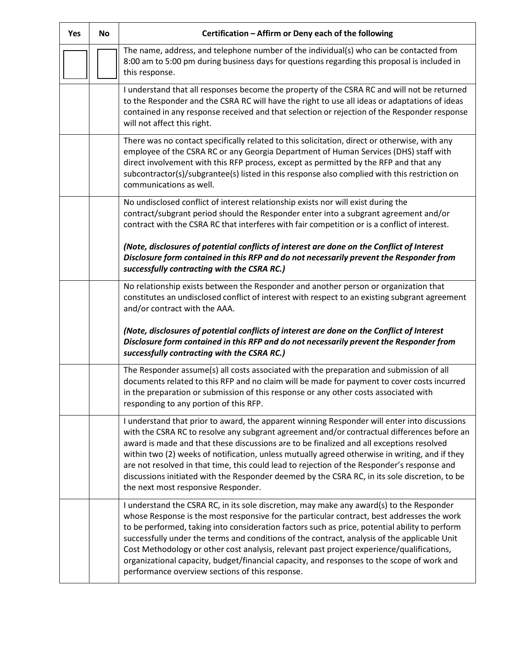| <b>Yes</b> | <b>No</b> | Certification - Affirm or Deny each of the following                                                                                                                                                                                                                                                                                                                                                                                                                                                                                                                                                                                   |
|------------|-----------|----------------------------------------------------------------------------------------------------------------------------------------------------------------------------------------------------------------------------------------------------------------------------------------------------------------------------------------------------------------------------------------------------------------------------------------------------------------------------------------------------------------------------------------------------------------------------------------------------------------------------------------|
|            |           | The name, address, and telephone number of the individual(s) who can be contacted from<br>8:00 am to 5:00 pm during business days for questions regarding this proposal is included in<br>this response.                                                                                                                                                                                                                                                                                                                                                                                                                               |
|            |           | I understand that all responses become the property of the CSRA RC and will not be returned<br>to the Responder and the CSRA RC will have the right to use all ideas or adaptations of ideas<br>contained in any response received and that selection or rejection of the Responder response<br>will not affect this right.                                                                                                                                                                                                                                                                                                            |
|            |           | There was no contact specifically related to this solicitation, direct or otherwise, with any<br>employee of the CSRA RC or any Georgia Department of Human Services (DHS) staff with<br>direct involvement with this RFP process, except as permitted by the RFP and that any<br>subcontractor(s)/subgrantee(s) listed in this response also complied with this restriction on<br>communications as well.                                                                                                                                                                                                                             |
|            |           | No undisclosed conflict of interest relationship exists nor will exist during the<br>contract/subgrant period should the Responder enter into a subgrant agreement and/or<br>contract with the CSRA RC that interferes with fair competition or is a conflict of interest.                                                                                                                                                                                                                                                                                                                                                             |
|            |           | (Note, disclosures of potential conflicts of interest are done on the Conflict of Interest<br>Disclosure form contained in this RFP and do not necessarily prevent the Responder from<br>successfully contracting with the CSRA RC.)                                                                                                                                                                                                                                                                                                                                                                                                   |
|            |           | No relationship exists between the Responder and another person or organization that<br>constitutes an undisclosed conflict of interest with respect to an existing subgrant agreement<br>and/or contract with the AAA.                                                                                                                                                                                                                                                                                                                                                                                                                |
|            |           | (Note, disclosures of potential conflicts of interest are done on the Conflict of Interest<br>Disclosure form contained in this RFP and do not necessarily prevent the Responder from<br>successfully contracting with the CSRA RC.)                                                                                                                                                                                                                                                                                                                                                                                                   |
|            |           | The Responder assume(s) all costs associated with the preparation and submission of all<br>documents related to this RFP and no claim will be made for payment to cover costs incurred<br>in the preparation or submission of this response or any other costs associated with<br>responding to any portion of this RFP.                                                                                                                                                                                                                                                                                                               |
|            |           | I understand that prior to award, the apparent winning Responder will enter into discussions<br>with the CSRA RC to resolve any subgrant agreement and/or contractual differences before an<br>award is made and that these discussions are to be finalized and all exceptions resolved<br>within two (2) weeks of notification, unless mutually agreed otherwise in writing, and if they<br>are not resolved in that time, this could lead to rejection of the Responder's response and<br>discussions initiated with the Responder deemed by the CSRA RC, in its sole discretion, to be<br>the next most responsive Responder.       |
|            |           | I understand the CSRA RC, in its sole discretion, may make any award(s) to the Responder<br>whose Response is the most responsive for the particular contract, best addresses the work<br>to be performed, taking into consideration factors such as price, potential ability to perform<br>successfully under the terms and conditions of the contract, analysis of the applicable Unit<br>Cost Methodology or other cost analysis, relevant past project experience/qualifications,<br>organizational capacity, budget/financial capacity, and responses to the scope of work and<br>performance overview sections of this response. |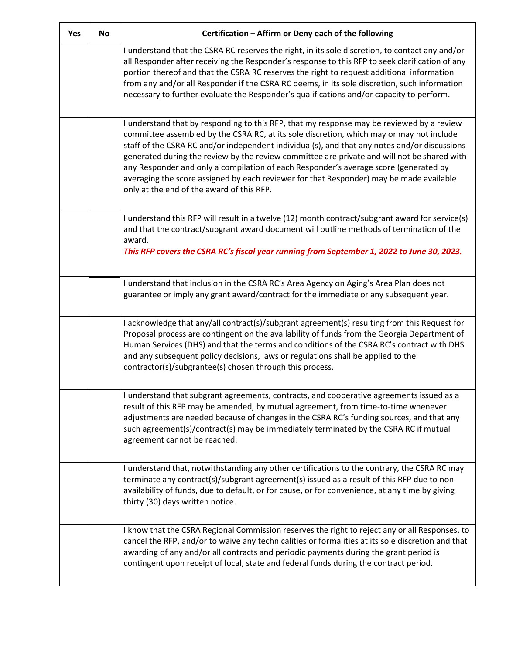| <b>Yes</b> | <b>No</b> | Certification - Affirm or Deny each of the following                                                                                                                                                                                                                                                                                                                                                                                                                                                                                                                                                                 |
|------------|-----------|----------------------------------------------------------------------------------------------------------------------------------------------------------------------------------------------------------------------------------------------------------------------------------------------------------------------------------------------------------------------------------------------------------------------------------------------------------------------------------------------------------------------------------------------------------------------------------------------------------------------|
|            |           | I understand that the CSRA RC reserves the right, in its sole discretion, to contact any and/or<br>all Responder after receiving the Responder's response to this RFP to seek clarification of any<br>portion thereof and that the CSRA RC reserves the right to request additional information<br>from any and/or all Responder if the CSRA RC deems, in its sole discretion, such information<br>necessary to further evaluate the Responder's qualifications and/or capacity to perform.                                                                                                                          |
|            |           | I understand that by responding to this RFP, that my response may be reviewed by a review<br>committee assembled by the CSRA RC, at its sole discretion, which may or may not include<br>staff of the CSRA RC and/or independent individual(s), and that any notes and/or discussions<br>generated during the review by the review committee are private and will not be shared with<br>any Responder and only a compilation of each Responder's average score (generated by<br>averaging the score assigned by each reviewer for that Responder) may be made available<br>only at the end of the award of this RFP. |
|            |           | I understand this RFP will result in a twelve (12) month contract/subgrant award for service(s)<br>and that the contract/subgrant award document will outline methods of termination of the<br>award.<br>This RFP covers the CSRA RC's fiscal year running from September 1, 2022 to June 30, 2023.                                                                                                                                                                                                                                                                                                                  |
|            |           | I understand that inclusion in the CSRA RC's Area Agency on Aging's Area Plan does not<br>guarantee or imply any grant award/contract for the immediate or any subsequent year.                                                                                                                                                                                                                                                                                                                                                                                                                                      |
|            |           | I acknowledge that any/all contract(s)/subgrant agreement(s) resulting from this Request for<br>Proposal process are contingent on the availability of funds from the Georgia Department of<br>Human Services (DHS) and that the terms and conditions of the CSRA RC's contract with DHS<br>and any subsequent policy decisions, laws or regulations shall be applied to the<br>contractor(s)/subgrantee(s) chosen through this process.                                                                                                                                                                             |
|            |           | I understand that subgrant agreements, contracts, and cooperative agreements issued as a<br>result of this RFP may be amended, by mutual agreement, from time-to-time whenever<br>adjustments are needed because of changes in the CSRA RC's funding sources, and that any<br>such agreement(s)/contract(s) may be immediately terminated by the CSRA RC if mutual<br>agreement cannot be reached.                                                                                                                                                                                                                   |
|            |           | I understand that, notwithstanding any other certifications to the contrary, the CSRA RC may<br>terminate any contract(s)/subgrant agreement(s) issued as a result of this RFP due to non-<br>availability of funds, due to default, or for cause, or for convenience, at any time by giving<br>thirty (30) days written notice.                                                                                                                                                                                                                                                                                     |
|            |           | I know that the CSRA Regional Commission reserves the right to reject any or all Responses, to<br>cancel the RFP, and/or to waive any technicalities or formalities at its sole discretion and that<br>awarding of any and/or all contracts and periodic payments during the grant period is<br>contingent upon receipt of local, state and federal funds during the contract period.                                                                                                                                                                                                                                |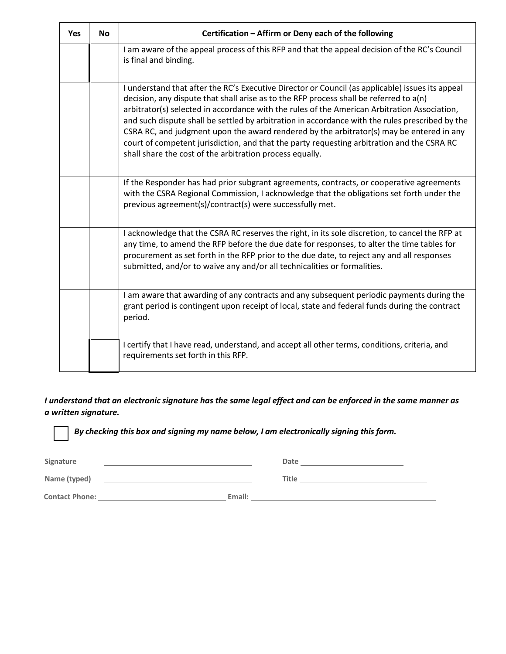| <b>Yes</b> | <b>No</b> | Certification - Affirm or Deny each of the following                                                                                                                                                                                                                                                                                                                                                                                                                                                                                                                                                                                                |
|------------|-----------|-----------------------------------------------------------------------------------------------------------------------------------------------------------------------------------------------------------------------------------------------------------------------------------------------------------------------------------------------------------------------------------------------------------------------------------------------------------------------------------------------------------------------------------------------------------------------------------------------------------------------------------------------------|
|            |           | I am aware of the appeal process of this RFP and that the appeal decision of the RC's Council<br>is final and binding.                                                                                                                                                                                                                                                                                                                                                                                                                                                                                                                              |
|            |           | I understand that after the RC's Executive Director or Council (as applicable) issues its appeal<br>decision, any dispute that shall arise as to the RFP process shall be referred to a(n)<br>arbitrator(s) selected in accordance with the rules of the American Arbitration Association,<br>and such dispute shall be settled by arbitration in accordance with the rules prescribed by the<br>CSRA RC, and judgment upon the award rendered by the arbitrator(s) may be entered in any<br>court of competent jurisdiction, and that the party requesting arbitration and the CSRA RC<br>shall share the cost of the arbitration process equally. |
|            |           | If the Responder has had prior subgrant agreements, contracts, or cooperative agreements<br>with the CSRA Regional Commission, I acknowledge that the obligations set forth under the<br>previous agreement(s)/contract(s) were successfully met.                                                                                                                                                                                                                                                                                                                                                                                                   |
|            |           | I acknowledge that the CSRA RC reserves the right, in its sole discretion, to cancel the RFP at<br>any time, to amend the RFP before the due date for responses, to alter the time tables for<br>procurement as set forth in the RFP prior to the due date, to reject any and all responses<br>submitted, and/or to waive any and/or all technicalities or formalities.                                                                                                                                                                                                                                                                             |
|            |           | I am aware that awarding of any contracts and any subsequent periodic payments during the<br>grant period is contingent upon receipt of local, state and federal funds during the contract<br>period.                                                                                                                                                                                                                                                                                                                                                                                                                                               |
|            |           | I certify that I have read, understand, and accept all other terms, conditions, criteria, and<br>requirements set forth in this RFP.                                                                                                                                                                                                                                                                                                                                                                                                                                                                                                                |

I understand that an electronic signature has the same legal effect and can be enforced in the same manner as *a written signature.*

| Signature             |        | Date  |  |
|-----------------------|--------|-------|--|
| Name (typed)          |        | Title |  |
| <b>Contact Phone:</b> | Email: |       |  |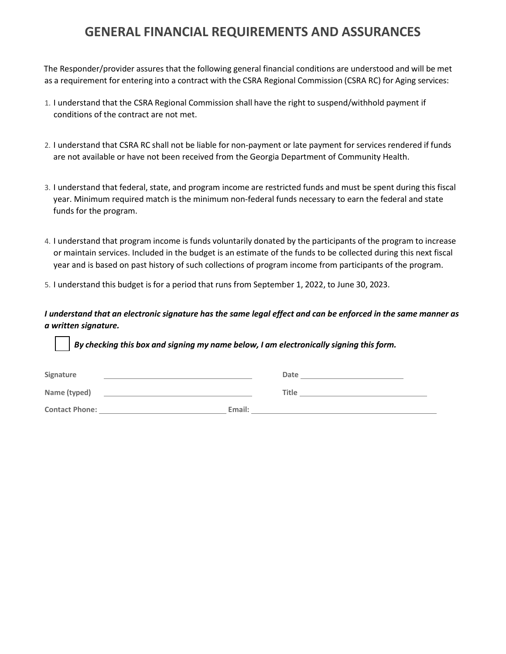### **GENERAL FINANCIAL REQUIREMENTS AND ASSURANCES**

The Responder/provider assures that the following general financial conditions are understood and will be met as a requirement for entering into a contract with the CSRA Regional Commission (CSRA RC) for Aging services:

- 1. I understand that the CSRA Regional Commission shall have the right to suspend/withhold payment if conditions of the contract are not met.
- 2. I understand that CSRA RC shall not be liable for non-payment or late payment for services rendered if funds are not available or have not been received from the Georgia Department of Community Health.
- 3. I understand that federal, state, and program income are restricted funds and must be spent during this fiscal year. Minimum required match is the minimum non-federal funds necessary to earn the federal and state funds for the program.
- 4. I understand that program income is funds voluntarily donated by the participants of the program to increase or maintain services. Included in the budget is an estimate of the funds to be collected during this next fiscal year and is based on past history of such collections of program income from participants of the program.
- 5. I understand this budget is for a period that runs from September 1, 2022, to June 30, 2023.

I understand that an electronic signature has the same legal effect and can be enforced in the same manner as *a written signature.*

| Signature             |        | Date         |  |
|-----------------------|--------|--------------|--|
| Name (typed)          |        | <b>Title</b> |  |
| <b>Contact Phone:</b> | Email: |              |  |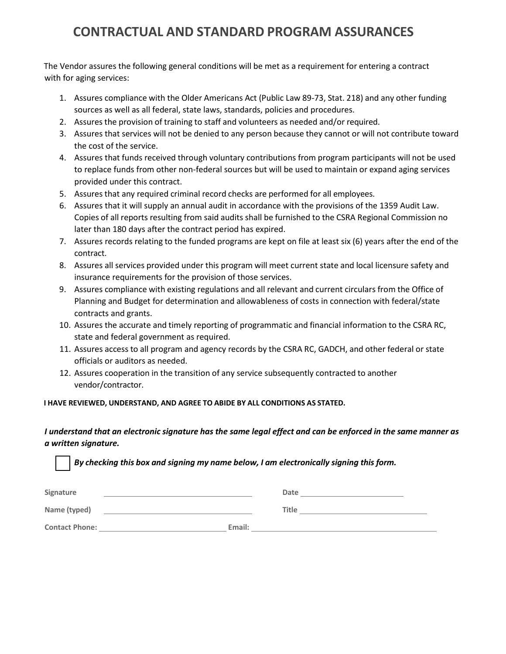# **CONTRACTUAL AND STANDARD PROGRAM ASSURANCES**

The Vendor assures the following general conditions will be met as a requirement for entering a contract with for aging services:

- 1. Assures compliance with the Older Americans Act (Public Law 89-73, Stat. 218) and any other funding sources as well as all federal, state laws, standards, policies and procedures.
- 2. Assures the provision of training to staff and volunteers as needed and/or required.
- 3. Assures that services will not be denied to any person because they cannot or will not contribute toward the cost of the service.
- 4. Assures that funds received through voluntary contributions from program participants will not be used to replace funds from other non-federal sources but will be used to maintain or expand aging services provided under this contract.
- 5. Assures that any required criminal record checks are performed for all employees.
- 6. Assures that it will supply an annual audit in accordance with the provisions of the 1359 Audit Law. Copies of all reports resulting from said audits shall be furnished to the CSRA Regional Commission no later than 180 days after the contract period has expired.
- 7. Assures records relating to the funded programs are kept on file at least six (6) years after the end of the contract.
- 8. Assures all services provided under this program will meet current state and local licensure safety and insurance requirements for the provision of those services.
- 9. Assures compliance with existing regulations and all relevant and current circulars from the Office of Planning and Budget for determination and allowableness of costs in connection with federal/state contracts and grants.
- 10. Assures the accurate and timely reporting of programmatic and financial information to the CSRA RC, state and federal government as required.
- 11. Assures access to all program and agency records by the CSRA RC, GADCH, and other federal or state officials or auditors as needed.
- 12. Assures cooperation in the transition of any service subsequently contracted to another vendor/contractor.

#### **I HAVE REVIEWED, UNDERSTAND, AND AGREE TO ABIDE BY ALL CONDITIONS AS STATED.**

#### I understand that an electronic signature has the same legal effect and can be enforced in the same manner as *a written signature.*

| Signature             |        | Date         |
|-----------------------|--------|--------------|
| Name (typed)          |        | <b>Title</b> |
| <b>Contact Phone:</b> | Email: |              |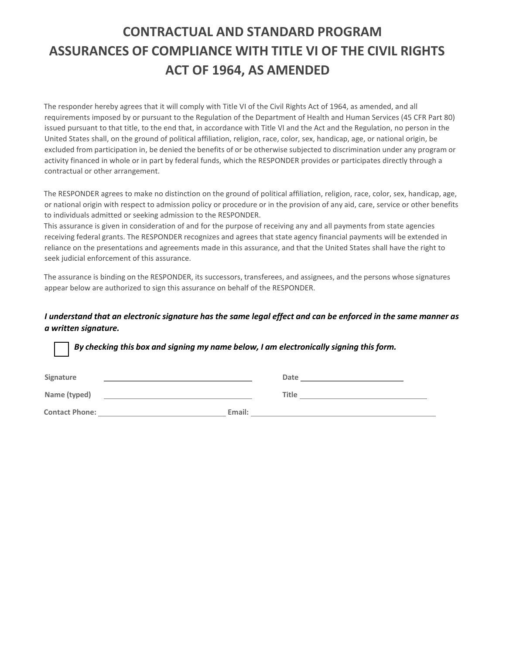# **CONTRACTUAL AND STANDARD PROGRAM ASSURANCES OF COMPLIANCE WITH TITLE VI OF THE CIVIL RIGHTS ACT OF 1964, AS AMENDED**

The responder hereby agrees that it will comply with Title VI of the Civil Rights Act of 1964, as amended, and all requirements imposed by or pursuant to the Regulation of the Department of Health and Human Services (45 CFR Part 80) issued pursuant to that title, to the end that, in accordance with Title VI and the Act and the Regulation, no person in the United States shall, on the ground of political affiliation, religion, race, color, sex, handicap, age, or national origin, be excluded from participation in, be denied the benefits of or be otherwise subjected to discrimination under any program or activity financed in whole or in part by federal funds, which the RESPONDER provides or participates directly through a contractual or other arrangement.

The RESPONDER agrees to make no distinction on the ground of political affiliation, religion, race, color, sex, handicap, age, or national origin with respect to admission policy or procedure or in the provision of any aid, care, service or other benefits to individuals admitted or seeking admission to the RESPONDER.

This assurance is given in consideration of and for the purpose of receiving any and all payments from state agencies receiving federal grants. The RESPONDER recognizes and agrees that state agency financial payments will be extended in reliance on the presentations and agreements made in this assurance, and that the United States shall have the right to seek judicial enforcement of this assurance.

The assurance is binding on the RESPONDER, its successors, transferees, and assignees, and the persons whose signatures appear below are authorized to sign this assurance on behalf of the RESPONDER.

#### I understand that an electronic signature has the same legal effect and can be enforced in the same manner as *a written signature.*

*By checking this box and signing my name below, I am electronically signing this form.* Signature **Construction Construction Construction** Date **Date Date Date Date Date Date Date Date Date Date Date Date Date Date Date Date Date Date Date Date Date D Name (typed) Title Contact Phone: Email: Email: Email: Email: Email: Email: Email: Email: Email: Email: Email: Email: Email: Email: Email: Email: Email: Email: Email: Email: Email: Email: Email:**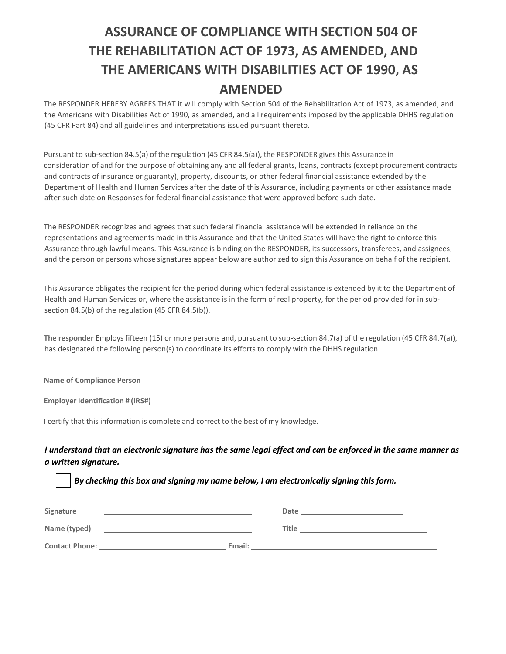# **ASSURANCE OF COMPLIANCE WITH SECTION 504 OF THE REHABILITATION ACT OF 1973, AS AMENDED, AND THE AMERICANS WITH DISABILITIES ACT OF 1990, AS AMENDED**

The RESPONDER HEREBY AGREES THAT it will comply with Section 504 of the Rehabilitation Act of 1973, as amended, and the Americans with Disabilities Act of 1990, as amended, and all requirements imposed by the applicable DHHS regulation (45 CFR Part 84) and all guidelines and interpretations issued pursuant thereto.

Pursuant to sub-section 84.5(a) of the regulation (45 CFR 84.5(a)), the RESPONDER gives this Assurance in consideration of and for the purpose of obtaining any and all federal grants, loans, contracts (except procurement contracts and contracts of insurance or guaranty), property, discounts, or other federal financial assistance extended by the Department of Health and Human Services after the date of this Assurance, including payments or other assistance made after such date on Responses for federal financial assistance that were approved before such date.

The RESPONDER recognizes and agrees that such federal financial assistance will be extended in reliance on the representations and agreements made in this Assurance and that the United States will have the right to enforce this Assurance through lawful means. This Assurance is binding on the RESPONDER, its successors, transferees, and assignees, and the person or persons whose signatures appear below are authorized to sign this Assurance on behalf of the recipient.

This Assurance obligates the recipient for the period during which federal assistance is extended by it to the Department of Health and Human Services or, where the assistance is in the form of real property, for the period provided for in subsection 84.5(b) of the regulation (45 CFR 84.5(b)).

**The responder** Employs fifteen (15) or more persons and, pursuant to sub-section 84.7(a) of the regulation (45 CFR 84.7(a)), has designated the following person(s) to coordinate its efforts to comply with the DHHS regulation.

**Name of Compliance Person** 

**Employer Identification # (IRS#)** 

I certify that this information is complete and correct to the best of my knowledge.

#### I understand that an electronic signature has the same legal effect and can be enforced in the same manner as *a written signature.*

| Signature             |        | Date  |
|-----------------------|--------|-------|
| Name (typed)          |        | Title |
| <b>Contact Phone:</b> | Email: |       |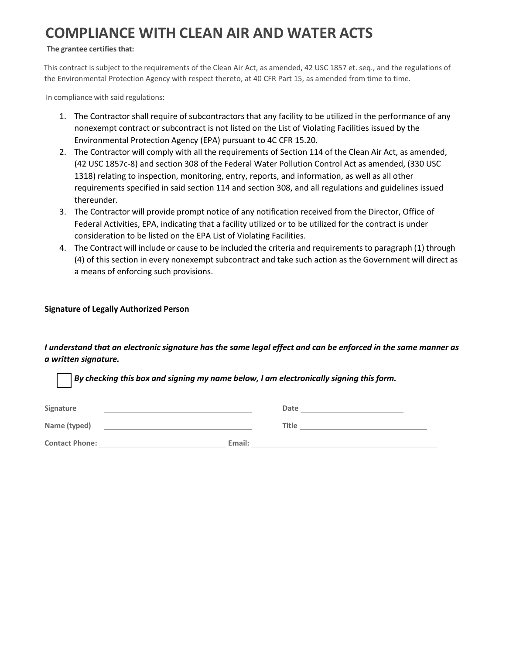# **COMPLIANCE WITH CLEAN AIR AND WATER ACTS**

#### **The grantee certifies that:**

This contract is subject to the requirements of the Clean Air Act, as amended, 42 USC 1857 et. seq., and the regulations of the Environmental Protection Agency with respect thereto, at 40 CFR Part 15, as amended from time to time.

In compliance with said regulations:

- 1. The Contractor shall require of subcontractors that any facility to be utilized in the performance of any nonexempt contract or subcontract is not listed on the List of Violating Facilities issued by the Environmental Protection Agency (EPA) pursuant to 4C CFR 15.20.
- 2. The Contractor will comply with all the requirements of Section 114 of the Clean Air Act, as amended, (42 USC 1857c-8) and section 308 of the Federal Water Pollution Control Act as amended, (330 USC 1318) relating to inspection, monitoring, entry, reports, and information, as well as all other requirements specified in said section 114 and section 308, and all regulations and guidelines issued thereunder.
- 3. The Contractor will provide prompt notice of any notification received from the Director, Office of Federal Activities, EPA, indicating that a facility utilized or to be utilized for the contract is under consideration to be listed on the EPA List of Violating Facilities.
- 4. The Contract will include or cause to be included the criteria and requirements to paragraph (1) through (4) of this section in every nonexempt subcontract and take such action as the Government will direct as a means of enforcing such provisions.

#### **Signature of Legally Authorized Person**

#### I understand that an electronic signature has the same legal effect and can be enforced in the same manner as *a written signature.*

| Signature             |        | Date         |
|-----------------------|--------|--------------|
| Name (typed)          |        | <b>Title</b> |
| <b>Contact Phone:</b> | Email: |              |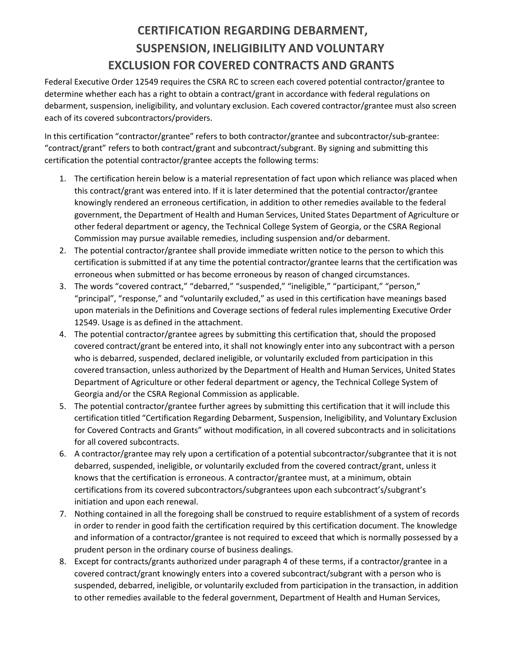# **CERTIFICATION REGARDING DEBARMENT, SUSPENSION, INELIGIBILITY AND VOLUNTARY EXCLUSION FOR COVERED CONTRACTS AND GRANTS**

Federal Executive Order 12549 requires the CSRA RC to screen each covered potential contractor/grantee to determine whether each has a right to obtain a contract/grant in accordance with federal regulations on debarment, suspension, ineligibility, and voluntary exclusion. Each covered contractor/grantee must also screen each of its covered subcontractors/providers.

In this certification "contractor/grantee" refers to both contractor/grantee and subcontractor/sub-grantee: "contract/grant" refers to both contract/grant and subcontract/subgrant. By signing and submitting this certification the potential contractor/grantee accepts the following terms:

- 1. The certification herein below is a material representation of fact upon which reliance was placed when this contract/grant was entered into. If it is later determined that the potential contractor/grantee knowingly rendered an erroneous certification, in addition to other remedies available to the federal government, the Department of Health and Human Services, United States Department of Agriculture or other federal department or agency, the Technical College System of Georgia, or the CSRA Regional Commission may pursue available remedies, including suspension and/or debarment.
- 2. The potential contractor/grantee shall provide immediate written notice to the person to which this certification is submitted if at any time the potential contractor/grantee learns that the certification was erroneous when submitted or has become erroneous by reason of changed circumstances.
- 3. The words "covered contract," "debarred," "suspended," "ineligible," "participant," "person," "principal", "response," and "voluntarily excluded," as used in this certification have meanings based upon materials in the Definitions and Coverage sections of federal rules implementing Executive Order 12549. Usage is as defined in the attachment.
- 4. The potential contractor/grantee agrees by submitting this certification that, should the proposed covered contract/grant be entered into, it shall not knowingly enter into any subcontract with a person who is debarred, suspended, declared ineligible, or voluntarily excluded from participation in this covered transaction, unless authorized by the Department of Health and Human Services, United States Department of Agriculture or other federal department or agency, the Technical College System of Georgia and/or the CSRA Regional Commission as applicable.
- 5. The potential contractor/grantee further agrees by submitting this certification that it will include this certification titled "Certification Regarding Debarment, Suspension, Ineligibility, and Voluntary Exclusion for Covered Contracts and Grants" without modification, in all covered subcontracts and in solicitations for all covered subcontracts.
- 6. A contractor/grantee may rely upon a certification of a potential subcontractor/subgrantee that it is not debarred, suspended, ineligible, or voluntarily excluded from the covered contract/grant, unless it knows that the certification is erroneous. A contractor/grantee must, at a minimum, obtain certifications from its covered subcontractors/subgrantees upon each subcontract's/subgrant's initiation and upon each renewal.
- 7. Nothing contained in all the foregoing shall be construed to require establishment of a system of records in order to render in good faith the certification required by this certification document. The knowledge and information of a contractor/grantee is not required to exceed that which is normally possessed by a prudent person in the ordinary course of business dealings.
- 8. Except for contracts/grants authorized under paragraph 4 of these terms, if a contractor/grantee in a covered contract/grant knowingly enters into a covered subcontract/subgrant with a person who is suspended, debarred, ineligible, or voluntarily excluded from participation in the transaction, in addition to other remedies available to the federal government, Department of Health and Human Services,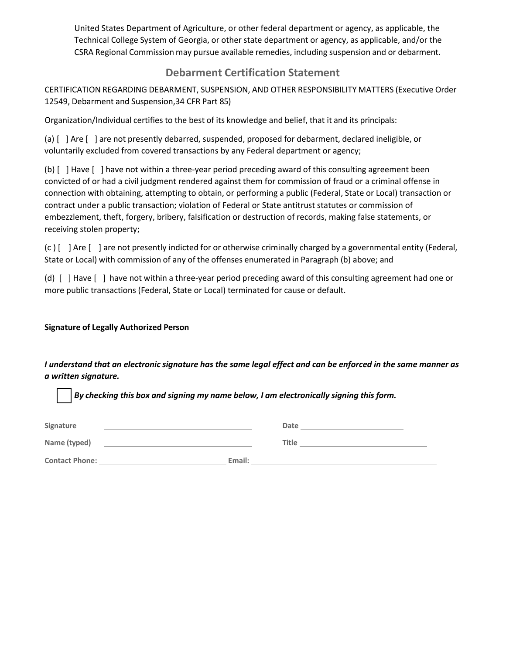United States Department of Agriculture, or other federal department or agency, as applicable, the Technical College System of Georgia, or other state department or agency, as applicable, and/or the CSRA Regional Commission may pursue available remedies, including suspension and or debarment.

### **Debarment Certification Statement**

CERTIFICATION REGARDING DEBARMENT, SUSPENSION, AND OTHER RESPONSIBILITY MATTERS (Executive Order 12549, Debarment and Suspension,34 CFR Part 85)

Organization/Individual certifies to the best of its knowledge and belief, that it and its principals:

(a) [ ] Are [ ] are not presently debarred, suspended, proposed for debarment, declared ineligible, or voluntarily excluded from covered transactions by any Federal department or agency;

(b) [ ] Have [ ] have not within a three-year period preceding award of this consulting agreement been convicted of or had a civil judgment rendered against them for commission of fraud or a criminal offense in connection with obtaining, attempting to obtain, or performing a public (Federal, State or Local) transaction or contract under a public transaction; violation of Federal or State antitrust statutes or commission of embezzlement, theft, forgery, bribery, falsification or destruction of records, making false statements, or receiving stolen property;

(c ) [ ] Are [ ] are not presently indicted for or otherwise criminally charged by a governmental entity (Federal, State or Local) with commission of any of the offenses enumerated in Paragraph (b) above; and

(d) [ ] Have [ ] have not within a three-year period preceding award of this consulting agreement had one or more public transactions (Federal, State or Local) terminated for cause or default.

#### **Signature of Legally Authorized Person**

I understand that an electronic signature has the same legal effect and can be enforced in the same manner as *a written signature.*

| Signature             |        | Date         |
|-----------------------|--------|--------------|
| Name (typed)          |        | <b>Title</b> |
| <b>Contact Phone:</b> | Email: |              |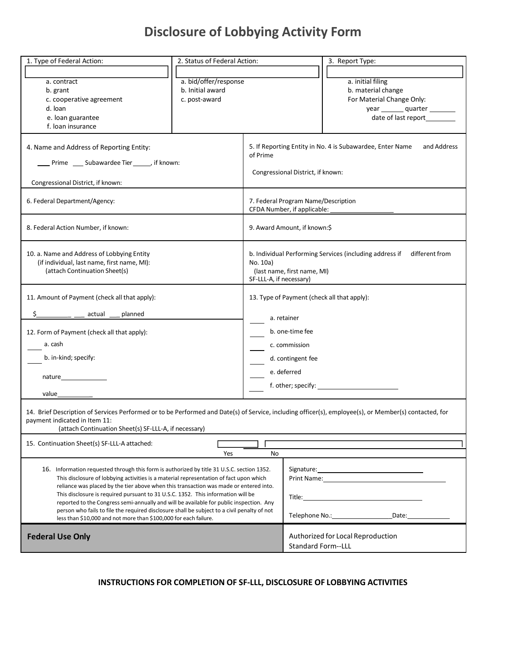# **Disclosure of Lobbying Activity Form**

| 1. Type of Federal Action:                                                                                                                                                                                                                      | 2. Status of Federal Action: |                         |                                       | 3. Report Type:                                                           |
|-------------------------------------------------------------------------------------------------------------------------------------------------------------------------------------------------------------------------------------------------|------------------------------|-------------------------|---------------------------------------|---------------------------------------------------------------------------|
|                                                                                                                                                                                                                                                 |                              |                         |                                       |                                                                           |
|                                                                                                                                                                                                                                                 | a. bid/offer/response        |                         |                                       | a. initial filing                                                         |
| a. contract<br>b. grant                                                                                                                                                                                                                         | b. Initial award             |                         |                                       | b. material change                                                        |
|                                                                                                                                                                                                                                                 | c. post-award                |                         |                                       |                                                                           |
| c. cooperative agreement<br>d. loan                                                                                                                                                                                                             |                              |                         |                                       | For Material Change Only:                                                 |
|                                                                                                                                                                                                                                                 |                              |                         |                                       | year quarter                                                              |
| e. Ioan guarantee<br>f. Ioan insurance                                                                                                                                                                                                          |                              |                         |                                       |                                                                           |
|                                                                                                                                                                                                                                                 |                              |                         |                                       |                                                                           |
| 4. Name and Address of Reporting Entity:<br>____ Prime ____ Subawardee Tier ______, if known:                                                                                                                                                   |                              | of Prime                |                                       | 5. If Reporting Entity in No. 4 is Subawardee, Enter Name<br>and Address  |
| Congressional District, if known:                                                                                                                                                                                                               |                              |                         | Congressional District, if known:     |                                                                           |
|                                                                                                                                                                                                                                                 |                              |                         |                                       |                                                                           |
| 6. Federal Department/Agency:                                                                                                                                                                                                                   |                              |                         | 7. Federal Program Name/Description   |                                                                           |
|                                                                                                                                                                                                                                                 |                              |                         | CFDA Number, if applicable: _________ |                                                                           |
|                                                                                                                                                                                                                                                 |                              |                         |                                       |                                                                           |
| 8. Federal Action Number, if known:                                                                                                                                                                                                             |                              |                         | 9. Award Amount, if known:\$          |                                                                           |
|                                                                                                                                                                                                                                                 |                              |                         |                                       |                                                                           |
| 10. a. Name and Address of Lobbying Entity                                                                                                                                                                                                      |                              |                         |                                       | b. Individual Performing Services (including address if<br>different from |
| (if individual, last name, first name, MI):                                                                                                                                                                                                     |                              | No. 10a)                |                                       |                                                                           |
| (attach Continuation Sheet(s)                                                                                                                                                                                                                   |                              |                         | (last name, first name, MI)           |                                                                           |
|                                                                                                                                                                                                                                                 |                              | SF-LLL-A, if necessary) |                                       |                                                                           |
|                                                                                                                                                                                                                                                 |                              |                         |                                       |                                                                           |
| 11. Amount of Payment (check all that apply):                                                                                                                                                                                                   |                              |                         |                                       | 13. Type of Payment (check all that apply):                               |
| actual<br>planned                                                                                                                                                                                                                               |                              |                         |                                       |                                                                           |
|                                                                                                                                                                                                                                                 |                              |                         | a. retainer                           |                                                                           |
| 12. Form of Payment (check all that apply):                                                                                                                                                                                                     |                              |                         | b. one-time fee                       |                                                                           |
| a. cash                                                                                                                                                                                                                                         |                              |                         | c. commission                         |                                                                           |
|                                                                                                                                                                                                                                                 |                              | d. contingent fee       |                                       |                                                                           |
| b. in-kind; specify:                                                                                                                                                                                                                            |                              |                         |                                       |                                                                           |
| nature                                                                                                                                                                                                                                          |                              |                         | e. deferred                           |                                                                           |
|                                                                                                                                                                                                                                                 |                              |                         |                                       |                                                                           |
| value                                                                                                                                                                                                                                           |                              |                         |                                       |                                                                           |
| 14. Brief Description of Services Performed or to be Performed and Date(s) of Service, including officer(s), employee(s), or Member(s) contacted, for<br>payment indicated in Item 11:<br>(attach Continuation Sheet(s) SF-LLL-A, if necessary) |                              |                         |                                       |                                                                           |
| 15. Continuation Sheet(s) SF-LLL-A attached:                                                                                                                                                                                                    |                              |                         |                                       |                                                                           |
|                                                                                                                                                                                                                                                 | Yes                          | No                      |                                       |                                                                           |
|                                                                                                                                                                                                                                                 |                              |                         |                                       |                                                                           |
| 16. Information requested through this form is authorized by title 31 U.S.C. section 1352.                                                                                                                                                      |                              |                         |                                       |                                                                           |
| This disclosure of lobbying activities is a material representation of fact upon which<br>reliance was placed by the tier above when this transaction was made or entered into.                                                                 |                              |                         |                                       |                                                                           |
| This disclosure is required pursuant to 31 U.S.C. 1352. This information will be                                                                                                                                                                |                              |                         |                                       |                                                                           |
| reported to the Congress semi-annually and will be available for public inspection. Any                                                                                                                                                         |                              |                         |                                       |                                                                           |
| person who fails to file the required disclosure shall be subject to a civil penalty of not                                                                                                                                                     |                              |                         |                                       |                                                                           |
| less than \$10,000 and not more than \$100,000 for each failure.                                                                                                                                                                                |                              |                         |                                       |                                                                           |
|                                                                                                                                                                                                                                                 |                              |                         |                                       |                                                                           |
| <b>Federal Use Only</b>                                                                                                                                                                                                                         |                              |                         |                                       | Authorized for Local Reproduction                                         |
|                                                                                                                                                                                                                                                 |                              |                         | <b>Standard Form--LLL</b>             |                                                                           |

### **INSTRUCTIONS FOR COMPLETION OF SF-LLL, DISCLOSURE OF LOBBYING ACTIVITIES**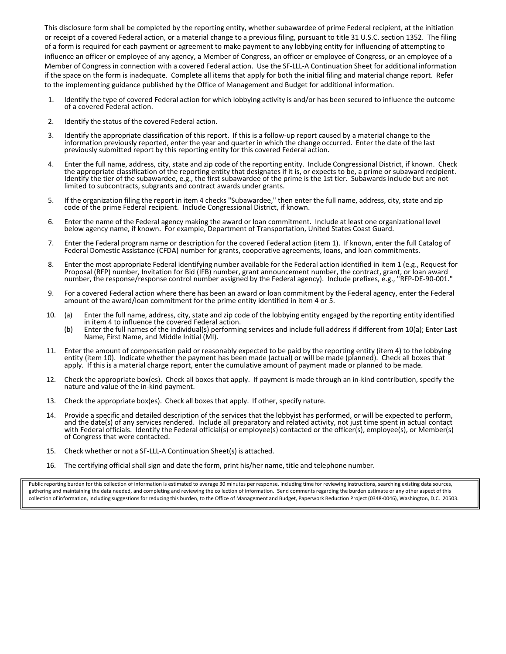This disclosure form shall be completed by the reporting entity, whether subawardee of prime Federal recipient, at the initiation or receipt of a covered Federal action, or a material change to a previous filing, pursuant to title 31 U.S.C. section 1352. The filing of a form is required for each payment or agreement to make payment to any lobbying entity for influencing of attempting to influence an officer or employee of any agency, a Member of Congress, an officer or employee of Congress, or an employee of a Member of Congress in connection with a covered Federal action. Use the SF-LLL-A Continuation Sheet for additional information if the space on the form is inadequate. Complete all items that apply for both the initial filing and material change report. Refer to the implementing guidance published by the Office of Management and Budget for additional information.

- 1. Identify the type of covered Federal action for which lobbying activity is and/or has been secured to influence the outcome of a covered Federal action.
- 2. Identify the status of the covered Federal action.
- 3. Identify the appropriate classification of this report. If this is a follow-up report caused by a material change to the information previously reported, enter the year and quarter in which the change occurred. Enter the date of the last previously submitted report by this reporting entity for this covered Federal action.
- 4. Enter the full name, address, city, state and zip code of the reporting entity. Include Congressional District, if known. Check the appropriate classification of the reporting entity that designates if it is, or expects to be, a prime or subaward recipient. Identify the tier of the subawardee, e.g., the first subawardee of the prime is the 1st tier. Subawards include but are not limited to subcontracts, subgrants and contract awards under grants.
- 5. If the organization filing the report in item 4 checks "Subawardee," then enter the full name, address, city, state and zip code of the prime Federal recipient. Include Congressional District, if known.
- 6. Enter the name of the Federal agency making the award or loan commitment. Include at least one organizational level below agency name, if known. For example, Department of Transportation, United States Coast Guard.
- 7. Enter the Federal program name or description for the covered Federal action (item 1). If known, enter the full Catalog of Federal Domestic Assistance (CFDA) number for grants, cooperative agreements, loans, and loan commitments.
- 8. Enter the most appropriate Federal identifying number available for the Federal action identified in item 1 (e.g., Request for Proposal (RFP) number, Invitation for Bid (IFB) number, grant announcement number, the contract, grant, or loan award number, the response/response control number assigned by the Federal agency). Include prefixes, e.g., "RFP-DE-90-001."
- 9. For a covered Federal action where there has been an award or loan commitment by the Federal agency, enter the Federal amount of the award/loan commitment for the prime entity identified in item 4 or 5.
- 10. (a) Enter the full name, address, city, state and zip code of the lobbying entity engaged by the reporting entity identified in item 4 to influence the covered Federal action.
	- (b) Enter the full names of the individual(s) performing services and include full address if different from 10(a); Enter Last Name, First Name, and Middle Initial (MI).
- 11. Enter the amount of compensation paid or reasonably expected to be paid by the reporting entity (item 4) to the lobbying entity (item 10). Indicate whether the payment has been made (actual) or will be made (planned). Check all boxes that apply. If this is a material charge report, enter the cumulative amount of payment made or planned to be made.
- 12. Check the appropriate box(es). Check all boxes that apply. If payment is made through an in-kind contribution, specify the nature and value of the in-kind payment.
- 13. Check the appropriate box(es). Check all boxes that apply. If other, specify nature.
- 14. Provide a specific and detailed description of the services that the lobbyist has performed, or will be expected to perform, and the date(s) of any services rendered. Include all preparatory and related activity, not just time spent in actual contact with Federal officials. Identify the Federal official(s) or employee(s) contacted or the officer(s), employee(s), or Member(s) of Congress that were contacted.
- 15. Check whether or not a SF-LLL-A Continuation Sheet(s) is attached.
- 16. The certifying official shallsign and date the form, print his/her name, title and telephone number.

Public reporting burden for this collection of information is estimated to average 30 minutes per response, including time for reviewing instructions, searching existing data sources, gathering and maintaining the data needed, and completing and reviewing the collection of information. Send comments regarding the burden estimate or any other aspect of this collection of information, including suggestions for reducing this burden, to the Office of Management and Budget, Paperwork Reduction Project (0348-0046), Washington, D.C. 20503.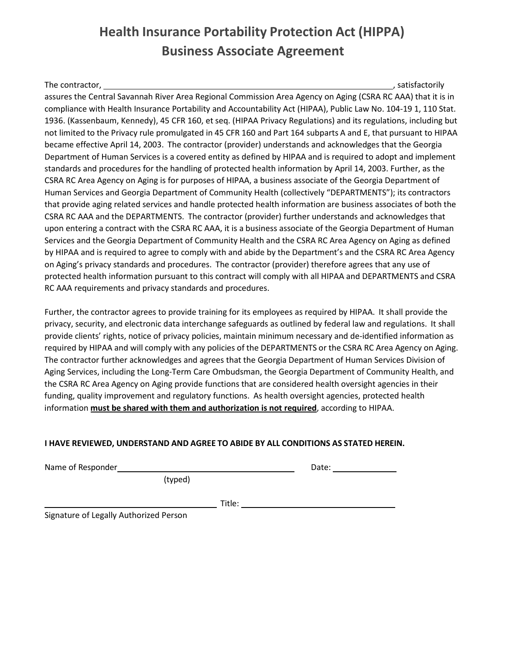# **Health Insurance Portability Protection Act (HIPPA) Business Associate Agreement**

The contractor, , satisfactorily assures the Central Savannah River Area Regional Commission Area Agency on Aging (CSRA RC AAA) that it is in compliance with Health Insurance Portability and Accountability Act (HIPAA), Public Law No. 104-19 1, 110 Stat. 1936. (Kassenbaum, Kennedy), 45 CFR 160, et seq. (HIPAA Privacy Regulations) and its regulations, including but not limited to the Privacy rule promulgated in 45 CFR 160 and Part 164 subparts A and E, that pursuant to HIPAA became effective April 14, 2003. The contractor (provider) understands and acknowledges that the Georgia Department of Human Services is a covered entity as defined by HIPAA and is required to adopt and implement standards and procedures for the handling of protected health information by April 14, 2003. Further, as the CSRA RC Area Agency on Aging is for purposes of HIPAA, a business associate of the Georgia Department of Human Services and Georgia Department of Community Health (collectively "DEPARTMENTS"); its contractors that provide aging related services and handle protected health information are business associates of both the CSRA RC AAA and the DEPARTMENTS. The contractor (provider) further understands and acknowledges that upon entering a contract with the CSRA RC AAA, it is a business associate of the Georgia Department of Human Services and the Georgia Department of Community Health and the CSRA RC Area Agency on Aging as defined by HIPAA and is required to agree to comply with and abide by the Department's and the CSRA RC Area Agency on Aging's privacy standards and procedures. The contractor (provider) therefore agrees that any use of protected health information pursuant to this contract will comply with all HIPAA and DEPARTMENTS and CSRA RC AAA requirements and privacy standards and procedures.

Further, the contractor agrees to provide training for its employees as required by HIPAA. It shall provide the privacy, security, and electronic data interchange safeguards as outlined by federal law and regulations. It shall provide clients' rights, notice of privacy policies, maintain minimum necessary and de-identified information as required by HIPAA and will comply with any policies of the DEPARTMENTS or the CSRA RC Area Agency on Aging. The contractor further acknowledges and agrees that the Georgia Department of Human Services Division of Aging Services, including the Long-Term Care Ombudsman, the Georgia Department of Community Health, and the CSRA RC Area Agency on Aging provide functions that are considered health oversight agencies in their funding, quality improvement and regulatory functions. As health oversight agencies, protected health information **must be shared with them and authorization is not required**, according to HIPAA.

#### **I HAVE REVIEWED, UNDERSTAND AND AGREE TO ABIDE BY ALL CONDITIONS AS STATED HEREIN.**

Name of Responder

Date:

(typed)

Title:

Signature of Legally Authorized Person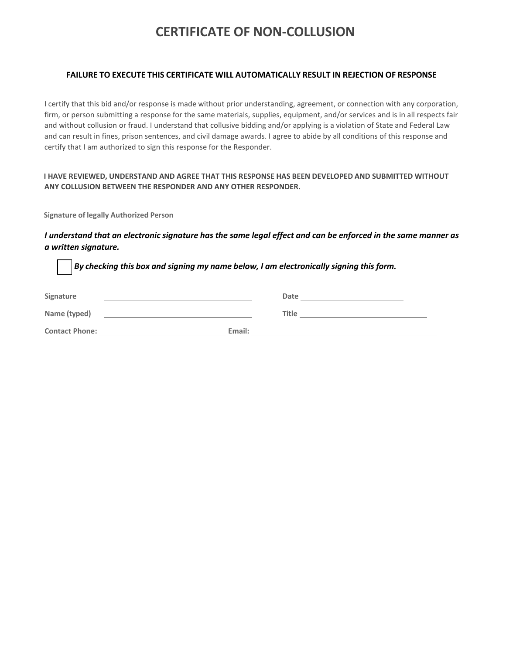# **CERTIFICATE OF NON-COLLUSION**

#### **FAILURE TO EXECUTE THIS CERTIFICATE WILL AUTOMATICALLY RESULT IN REJECTION OF RESPONSE**

I certify that this bid and/or response is made without prior understanding, agreement, or connection with any corporation, firm, or person submitting a response for the same materials, supplies, equipment, and/or services and is in all respects fair and without collusion or fraud. I understand that collusive bidding and/or applying is a violation of State and Federal Law and can result in fines, prison sentences, and civil damage awards. I agree to abide by all conditions of this response and certify that I am authorized to sign this response for the Responder.

#### **I HAVE REVIEWED, UNDERSTAND AND AGREE THAT THIS RESPONSE HAS BEEN DEVELOPED AND SUBMITTED WITHOUT ANY COLLUSION BETWEEN THE RESPONDER AND ANY OTHER RESPONDER.**

**Signature of legally Authorized Person**

#### I understand that an electronic signature has the same legal effect and can be enforced in the same manner as *a written signature.*

| Signature             |        | Date         |
|-----------------------|--------|--------------|
| Name (typed)          |        | <b>Title</b> |
| <b>Contact Phone:</b> | Email: |              |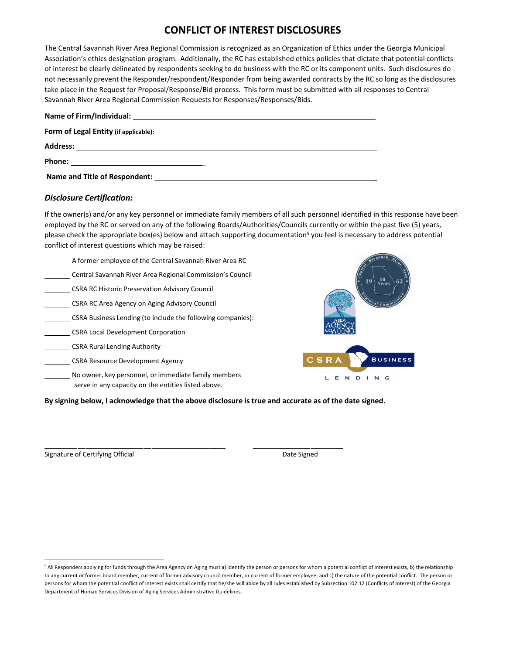### **CONFLICT OF INTEREST DISCLOSURES**

The Central Savannah River Area Regional Commission is recognized as an Organization of Ethics under the Georgia Municipal Association's ethics designation program. Additionally, the RC has established ethics policies that dictate that potential conflicts of interest be clearly delineated by respondents seeking to do business with the RC or its component units. Such disclosures do not necessarily prevent the Responder/respondent/Responder from being awarded contracts by the RC so long as the disclosures take place in the Request for Proposal/Response/Bid process. This form must be submitted with all responses to Central Savannah River Area Regional Commission Requests for Responses/Responses/Bids.

| Address:<br><u> 1989 - Johann Stein, mars an deutscher Stein († 1958)</u>                |
|------------------------------------------------------------------------------------------|
|                                                                                          |
| Name and Title of Respondent: Name of the state of the state of the state of Respondent: |

#### *Disclosure Certification:*

If the owner(s) and/or any key personnel or immediate family members of all such personnel identified in this response have been employed by the RC or served on any of the following Boards/Authorities/Councils currently or within the past five (5) years, please check the appropriate box(es) below and attach supporting documentation<sup>5</sup> you feel is necessary to address potential conflict of interest questions which may be raised:

| A former employee of the Central Savannah River Area RC                                                     | $\sqrt{ann}$                          |
|-------------------------------------------------------------------------------------------------------------|---------------------------------------|
| Central Savannah River Area Regional Commission's Council                                                   | $\frac{50}{\text{Years}}$<br>19<br>62 |
| <b>CSRA RC Historic Preservation Advisory Council</b>                                                       |                                       |
| CSRA RC Area Agency on Aging Advisory Council                                                               |                                       |
| CSRA Business Lending (to include the following companies):                                                 | AREA                                  |
| <b>CSRA Local Development Corporation</b>                                                                   |                                       |
| <b>CSRA Rural Lending Authority</b>                                                                         |                                       |
| <b>CSRA Resource Development Agency</b>                                                                     | $C$ S R A<br><b>BUSINESS</b>          |
| No owner, key personnel, or immediate family members<br>serve in any capacity on the entities listed above. | G                                     |

**By signing below, I acknowledge that the above disclosure is true and accurate as of the date signed.**

Signature of Certifying Official and Signature of Certifying Official Andrew Signature of Certifying Official

<span id="page-43-0"></span><sup>&</sup>lt;sup>5</sup> All Responders applying for funds through the Area Agency on Aging must a) identify the person or persons for whom a potential conflict of interest exists, b) the relationship to any current or former board member, current of former advisory council member, or current of former employee; and c) the nature of the potential conflict. The person or persons for whom the potential conflict of interest exists shall certify that he/she will abide by all rules established by Subsection 102.12 (Conflicts of Interest) of the Georgia Department of Human Services Division of Aging Services Administrative Guidelines.